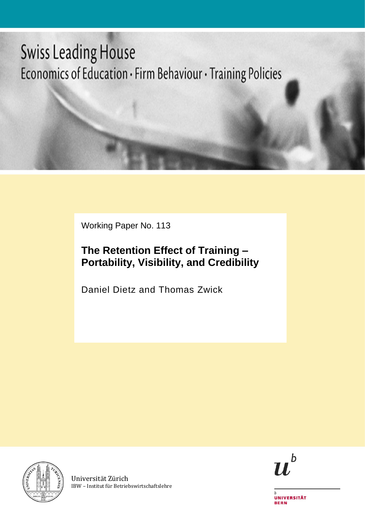# **Swiss Leading House** Economics of Education · Firm Behaviour · Training Policies

Working Paper No. 113

# **The Retention Effect of Training – Portability, Visibility, and Credibility**

Daniel Dietz and Thomas Zwick



Universität Zürich IBW – Institut für Betriebswirtschaftslehre



**UNIVERSITÄT BERN**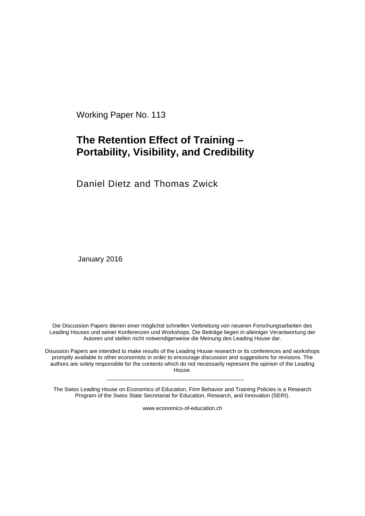Working Paper No. 113

## **The Retention Effect of Training – Portability, Visibility, and Credibility**

Daniel Dietz and Thomas Zwick

January 2016

Die Discussion Papers dienen einer möglichst schnellen Verbreitung von neueren Forschungsarbeiten des Leading Houses und seiner Konferenzen und Workshops. Die Beiträge liegen in alleiniger Verantwortung der Autoren und stellen nicht notwendigerweise die Meinung des Leading House dar.

Disussion Papers are intended to make results of the Leading House research or its conferences and workshops promptly available to other economists in order to encourage discussion and suggestions for revisions. The authors are solely responsible for the contents which do not necessarily represent the opinion of the Leading House.

The Swiss Leading House on Economics of Education, Firm Behavior and Training Policies is a Research Program of the Swiss State Secretariat for Education, Research, and Innovation (SERI).

www.economics-of-education.ch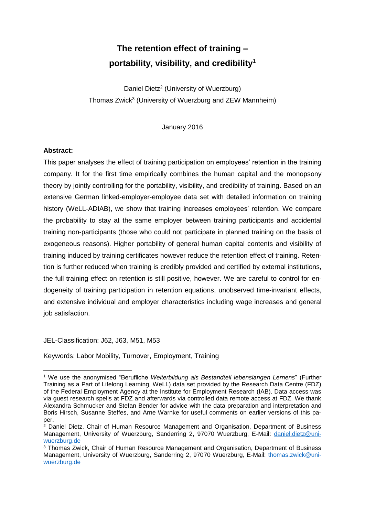# **The retention effect of training – portability, visibility, and credibility<sup>1</sup>**

Daniel Dietz<sup>2</sup> (University of Wuerzburg) Thomas Zwick<sup>3</sup> (University of Wuerzburg and ZEW Mannheim)

January 2016

#### **Abstract:**

This paper analyses the effect of training participation on employees' retention in the training company. It for the first time empirically combines the human capital and the monopsony theory by jointly controlling for the portability, visibility, and credibility of training. Based on an extensive German linked-employer-employee data set with detailed information on training history (WeLL-ADIAB), we show that training increases employees' retention. We compare the probability to stay at the same employer between training participants and accidental training non-participants (those who could not participate in planned training on the basis of exogeneous reasons). Higher portability of general human capital contents and visibility of training induced by training certificates however reduce the retention effect of training. Retention is further reduced when training is credibly provided and certified by external institutions, the full training effect on retention is still positive, however. We are careful to control for endogeneity of training participation in retention equations, unobserved time-invariant effects, and extensive individual and employer characteristics including wage increases and general job satisfaction.

JEL-Classification: J62, J63, M51, M53

Keywords: Labor Mobility, Turnover, Employment, Training

 <sup>1</sup> We use the anonymised "Berufliche *Weiterbildung als Bestandteil lebenslangen Lernens*" (Further Training as a Part of Lifelong Learning, WeLL) data set provided by the Research Data Centre (FDZ) of the Federal Employment Agency at the Institute for Employment Research (IAB). Data access was via guest research spells at FDZ and afterwards via controlled data remote access at FDZ. We thank Alexandra Schmucker and Stefan Bender for advice with the data preparation and interpretation and Boris Hirsch, Susanne Steffes, and Arne Warnke for useful comments on earlier versions of this paper.

<sup>&</sup>lt;sup>2</sup> Daniel Dietz, Chair of Human Resource Management and Organisation, Department of Business Management, University of Wuerzburg, Sanderring 2, 97070 Wuerzburg, E-Mail: [daniel.dietz@uni](mailto:daniel.dietz@uni-wuerzburg.de)[wuerzburg.de](mailto:daniel.dietz@uni-wuerzburg.de)

<sup>3</sup> Thomas Zwick, Chair of Human Resource Management and Organisation, Department of Business Management, University of Wuerzburg, Sanderring 2, 97070 Wuerzburg, E-Mail: [thomas.zwick@uni](mailto:thomas.zwick@uni-wuerzburg.de)[wuerzburg.de](mailto:thomas.zwick@uni-wuerzburg.de)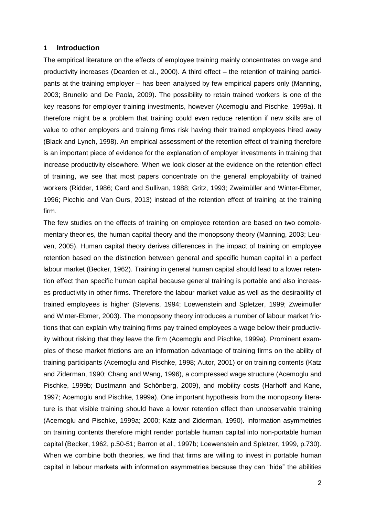#### **1 Introduction**

The empirical literature on the effects of employee training mainly concentrates on wage and productivity increases (Dearden et al., 2000). A third effect – the retention of training participants at the training employer – has been analysed by few empirical papers only (Manning, 2003; Brunello and De Paola, 2009). The possibility to retain trained workers is one of the key reasons for employer training investments, however (Acemoglu and Pischke, 1999a). It therefore might be a problem that training could even reduce retention if new skills are of value to other employers and training firms risk having their trained employees hired away (Black and Lynch, 1998). An empirical assessment of the retention effect of training therefore is an important piece of evidence for the explanation of employer investments in training that increase productivity elsewhere. When we look closer at the evidence on the retention effect of training, we see that most papers concentrate on the general employability of trained workers (Ridder, 1986; Card and Sullivan, 1988; Gritz, 1993; Zweimüller and Winter-Ebmer, 1996; Picchio and Van Ours, 2013) instead of the retention effect of training at the training firm.

The few studies on the effects of training on employee retention are based on two complementary theories, the human capital theory and the monopsony theory (Manning, 2003; Leuven, 2005). Human capital theory derives differences in the impact of training on employee retention based on the distinction between general and specific human capital in a perfect labour market (Becker, 1962). Training in general human capital should lead to a lower retention effect than specific human capital because general training is portable and also increases productivity in other firms. Therefore the labour market value as well as the desirability of trained employees is higher (Stevens, 1994; Loewenstein and Spletzer, 1999; Zweimüller and Winter-Ebmer, 2003). The monopsony theory introduces a number of labour market frictions that can explain why training firms pay trained employees a wage below their productivity without risking that they leave the firm (Acemoglu and Pischke, 1999a). Prominent examples of these market frictions are an information advantage of training firms on the ability of training participants (Acemoglu and Pischke, 1998; Autor, 2001) or on training contents (Katz and Ziderman, 1990; Chang and Wang, 1996), a compressed wage structure (Acemoglu and Pischke, 1999b; Dustmann and Schönberg, 2009), and mobility costs (Harhoff and Kane, 1997; Acemoglu and Pischke, 1999a). One important hypothesis from the monopsony literature is that visible training should have a lower retention effect than unobservable training (Acemoglu and Pischke, 1999a; 2000; Katz and Ziderman, 1990). Information asymmetries on training contents therefore might render portable human capital into non-portable human capital (Becker, 1962, p.50-51; Barron et al., 1997b; Loewenstein and Spletzer, 1999, p.730). When we combine both theories, we find that firms are willing to invest in portable human capital in labour markets with information asymmetries because they can "hide" the abilities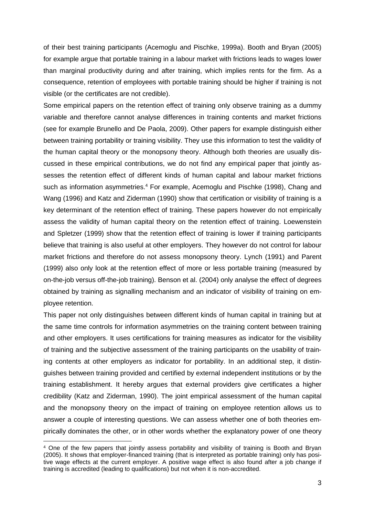of their best training participants (Acemoglu and Pischke, 1999a). Booth and Bryan (2005) for example argue that portable training in a labour market with frictions leads to wages lower than marginal productivity during and after training, which implies rents for the firm. As a consequence, retention of employees with portable training should be higher if training is not visible (or the certificates are not credible).

Some empirical papers on the retention effect of training only observe training as a dummy variable and therefore cannot analyse differences in training contents and market frictions (see for example Brunello and De Paola, 2009). Other papers for example distinguish either between training portability or training visibility. They use this information to test the validity of the human capital theory or the monopsony theory. Although both theories are usually discussed in these empirical contributions, we do not find any empirical paper that jointly assesses the retention effect of different kinds of human capital and labour market frictions such as information asymmetries.<sup>4</sup> For example, Acemoglu and Pischke (1998), Chang and Wang (1996) and Katz and Ziderman (1990) show that certification or visibility of training is a key determinant of the retention effect of training. These papers however do not empirically assess the validity of human capital theory on the retention effect of training. Loewenstein and Spletzer (1999) show that the retention effect of training is lower if training participants believe that training is also useful at other employers. They however do not control for labour market frictions and therefore do not assess monopsony theory. Lynch (1991) and Parent (1999) also only look at the retention effect of more or less portable training (measured by on-the-job versus off-the-job training). Benson et al. (2004) only analyse the effect of degrees obtained by training as signalling mechanism and an indicator of visibility of training on employee retention.

This paper not only distinguishes between different kinds of human capital in training but at the same time controls for information asymmetries on the training content between training and other employers. It uses certifications for training measures as indicator for the visibility of training and the subjective assessment of the training participants on the usability of training contents at other employers as indicator for portability. In an additional step, it distinguishes between training provided and certified by external independent institutions or by the training establishment. It hereby argues that external providers give certificates a higher credibility (Katz and Ziderman, 1990). The joint empirical assessment of the human capital and the monopsony theory on the impact of training on employee retention allows us to answer a couple of interesting questions. We can assess whether one of both theories empirically dominates the other, or in other words whether the explanatory power of one theory

 $\overline{a}$ 

<sup>4</sup> One of the few papers that jointly assess portability and visibility of training is Booth and Bryan (2005). It shows that employer-financed training (that is interpreted as portable training) only has positive wage effects at the current employer. A positive wage effect is also found after a job change if training is accredited (leading to qualifications) but not when it is non-accredited.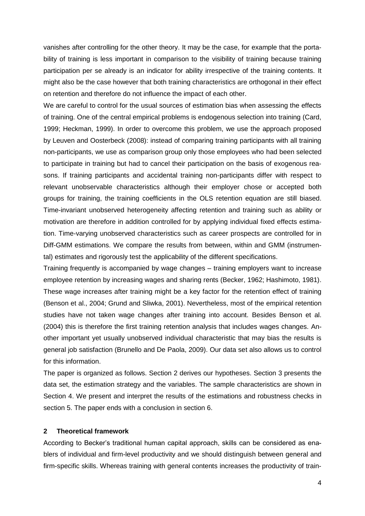vanishes after controlling for the other theory. It may be the case, for example that the portability of training is less important in comparison to the visibility of training because training participation per se already is an indicator for ability irrespective of the training contents. It might also be the case however that both training characteristics are orthogonal in their effect on retention and therefore do not influence the impact of each other.

We are careful to control for the usual sources of estimation bias when assessing the effects of training. One of the central empirical problems is endogenous selection into training (Card, 1999; Heckman, 1999). In order to overcome this problem, we use the approach proposed by Leuven and Oosterbeck (2008): instead of comparing training participants with all training non-participants, we use as comparison group only those employees who had been selected to participate in training but had to cancel their participation on the basis of exogenous reasons. If training participants and accidental training non-participants differ with respect to relevant unobservable characteristics although their employer chose or accepted both groups for training, the training coefficients in the OLS retention equation are still biased. Time-invariant unobserved heterogeneity affecting retention and training such as ability or motivation are therefore in addition controlled for by applying individual fixed effects estimation. Time-varying unobserved characteristics such as career prospects are controlled for in Diff-GMM estimations. We compare the results from between, within and GMM (instrumental) estimates and rigorously test the applicability of the different specifications.

Training frequently is accompanied by wage changes – training employers want to increase employee retention by increasing wages and sharing rents (Becker, 1962; Hashimoto, 1981). These wage increases after training might be a key factor for the retention effect of training (Benson et al., 2004; Grund and Sliwka, 2001). Nevertheless, most of the empirical retention studies have not taken wage changes after training into account. Besides Benson et al. (2004) this is therefore the first training retention analysis that includes wages changes. Another important yet usually unobserved individual characteristic that may bias the results is general job satisfaction (Brunello and De Paola, 2009). Our data set also allows us to control for this information.

The paper is organized as follows. Section 2 derives our hypotheses. Section 3 presents the data set, the estimation strategy and the variables. The sample characteristics are shown in Section 4. We present and interpret the results of the estimations and robustness checks in section 5. The paper ends with a conclusion in section 6.

#### **2 Theoretical framework**

According to Becker's traditional human capital approach, skills can be considered as enablers of individual and firm-level productivity and we should distinguish between general and firm-specific skills. Whereas training with general contents increases the productivity of train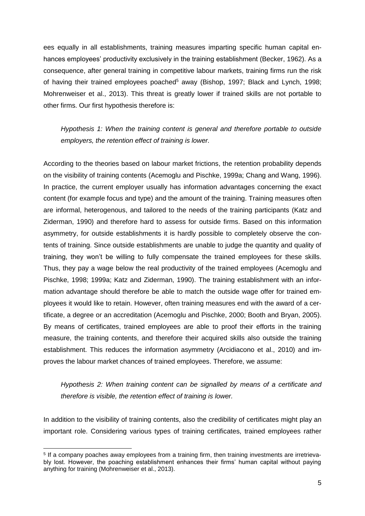ees equally in all establishments, training measures imparting specific human capital enhances employees' productivity exclusively in the training establishment (Becker, 1962). As a consequence, after general training in competitive labour markets, training firms run the risk of having their trained employees poached<sup>5</sup> away (Bishop, 1997; Black and Lynch, 1998; Mohrenweiser et al., 2013). This threat is greatly lower if trained skills are not portable to other firms. Our first hypothesis therefore is:

*Hypothesis 1: When the training content is general and therefore portable to outside employers, the retention effect of training is lower.*

According to the theories based on labour market frictions, the retention probability depends on the visibility of training contents (Acemoglu and Pischke, 1999a; Chang and Wang, 1996). In practice, the current employer usually has information advantages concerning the exact content (for example focus and type) and the amount of the training. Training measures often are informal, heterogenous, and tailored to the needs of the training participants (Katz and Ziderman, 1990) and therefore hard to assess for outside firms. Based on this information asymmetry, for outside establishments it is hardly possible to completely observe the contents of training. Since outside establishments are unable to judge the quantity and quality of training, they won't be willing to fully compensate the trained employees for these skills. Thus, they pay a wage below the real productivity of the trained employees (Acemoglu and Pischke, 1998; 1999a; Katz and Ziderman, 1990). The training establishment with an information advantage should therefore be able to match the outside wage offer for trained employees it would like to retain. However, often training measures end with the award of a certificate, a degree or an accreditation (Acemoglu and Pischke, 2000; Booth and Bryan, 2005). By means of certificates, trained employees are able to proof their efforts in the training measure, the training contents, and therefore their acquired skills also outside the training establishment. This reduces the information asymmetry (Arcidiacono et al., 2010) and improves the labour market chances of trained employees. Therefore, we assume:

*Hypothesis 2: When training content can be signalled by means of a certificate and therefore is visible, the retention effect of training is lower.*

In addition to the visibility of training contents, also the credibility of certificates might play an important role. Considering various types of training certificates, trained employees rather

 $\overline{a}$ 

<sup>5</sup> If a company poaches away employees from a training firm, then training investments are irretrievably lost. However, the poaching establishment enhances their firms' human capital without paying anything for training (Mohrenweiser et al., 2013).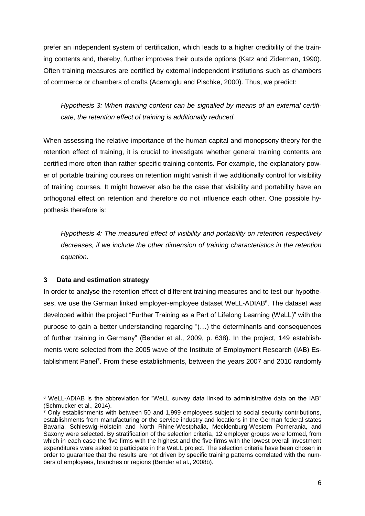prefer an independent system of certification, which leads to a higher credibility of the training contents and, thereby, further improves their outside options (Katz and Ziderman, 1990). Often training measures are certified by external independent institutions such as chambers of commerce or chambers of crafts (Acemoglu and Pischke, 2000). Thus, we predict:

*Hypothesis 3: When training content can be signalled by means of an external certificate, the retention effect of training is additionally reduced.* 

When assessing the relative importance of the human capital and monopsony theory for the retention effect of training, it is crucial to investigate whether general training contents are certified more often than rather specific training contents. For example, the explanatory power of portable training courses on retention might vanish if we additionally control for visibility of training courses. It might however also be the case that visibility and portability have an orthogonal effect on retention and therefore do not influence each other. One possible hypothesis therefore is:

*Hypothesis 4: The measured effect of visibility and portability on retention respectively decreases, if we include the other dimension of training characteristics in the retention equation.*

### **3 Data and estimation strategy**

In order to analyse the retention effect of different training measures and to test our hypotheses, we use the German linked employer-employee dataset WeLL-ADIAB<sup>6</sup>. The dataset was developed within the project "Further Training as a Part of Lifelong Learning (WeLL)" with the purpose to gain a better understanding regarding "(…) the determinants and consequences of further training in Germany" (Bender et al., 2009, p. 638). In the project, 149 establishments were selected from the 2005 wave of the Institute of Employment Research (IAB) Establishment Panel<sup>7</sup>. From these establishments, between the years 2007 and 2010 randomly

 <sup>6</sup> WeLL-ADIAB is the abbreviation for "WeLL survey data linked to administrative data on the IAB" (Schmucker et al., 2014).

 $7$  Only establishments with between 50 and 1,999 employees subject to social security contributions, establishments from manufacturing or the service industry and locations in the German federal states Bavaria, Schleswig-Holstein and North Rhine-Westphalia, Mecklenburg-Western Pomerania, and Saxony were selected. By stratification of the selection criteria, 12 employer groups were formed, from which in each case the five firms with the highest and the five firms with the lowest overall investment expenditures were asked to participate in the WeLL project. The selection criteria have been chosen in order to guarantee that the results are not driven by specific training patterns correlated with the numbers of employees, branches or regions (Bender et al., 2008b).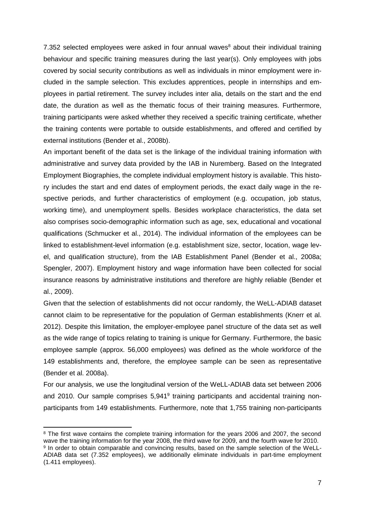7.352 selected employees were asked in four annual waves $8$  about their individual training behaviour and specific training measures during the last year(s). Only employees with jobs covered by social security contributions as well as individuals in minor employment were included in the sample selection. This excludes apprentices, people in internships and employees in partial retirement. The survey includes inter alia, details on the start and the end date, the duration as well as the thematic focus of their training measures. Furthermore, training participants were asked whether they received a specific training certificate, whether the training contents were portable to outside establishments, and offered and certified by external institutions (Bender et al., 2008b).

An important benefit of the data set is the linkage of the individual training information with administrative and survey data provided by the IAB in Nuremberg. Based on the Integrated Employment Biographies, the complete individual employment history is available. This history includes the start and end dates of employment periods, the exact daily wage in the respective periods, and further characteristics of employment (e.g. occupation, job status, working time), and unemployment spells. Besides workplace characteristics, the data set also comprises socio-demographic information such as age, sex, educational and vocational qualifications (Schmucker et al., 2014). The individual information of the employees can be linked to establishment-level information (e.g. establishment size, sector, location, wage level, and qualification structure), from the IAB Establishment Panel (Bender et al., 2008a; Spengler, 2007). Employment history and wage information have been collected for social insurance reasons by administrative institutions and therefore are highly reliable (Bender et al., 2009).

Given that the selection of establishments did not occur randomly, the WeLL-ADIAB dataset cannot claim to be representative for the population of German establishments (Knerr et al. 2012). Despite this limitation, the employer-employee panel structure of the data set as well as the wide range of topics relating to training is unique for Germany. Furthermore, the basic employee sample (approx. 56,000 employees) was defined as the whole workforce of the 149 establishments and, therefore, the employee sample can be seen as representative (Bender et al. 2008a).

For our analysis, we use the longitudinal version of the WeLL-ADIAB data set between 2006 and 2010. Our sample comprises 5,941<sup>9</sup> training participants and accidental training nonparticipants from 149 establishments. Furthermore, note that 1,755 training non-participants

 $\overline{a}$ 

<sup>&</sup>lt;sup>8</sup> The first wave contains the complete training information for the years 2006 and 2007, the second wave the training information for the year 2008, the third wave for 2009, and the fourth wave for 2010. <sup>9</sup> In order to obtain comparable and convincing results, based on the sample selection of the WeLL-ADIAB data set (7.352 employees), we additionally eliminate individuals in part-time employment (1.411 employees).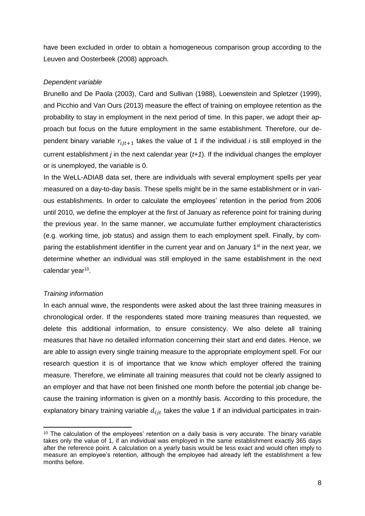have been excluded in order to obtain a homogeneous comparison group according to the Leuven and Oosterbeek (2008) approach.

#### *Dependent variable*

Brunello and De Paola (2003), Card and Sullivan (1988), Loewenstein and Spletzer (1999), and Picchio and Van Ours (2013) measure the effect of training on employee retention as the probability to stay in employment in the next period of time. In this paper, we adopt their approach but focus on the future employment in the same establishment. Therefore, our dependent binary variable  $r_{i j t+1}$  takes the value of 1 if the individual *i* is still employed in the current establishment *j* in the next calendar year (*t+1*). If the individual changes the employer or is unemployed, the variable is 0.

In the WeLL-ADIAB data set, there are individuals with several employment spells per year measured on a day-to-day basis. These spells might be in the same establishment or in various establishments. In order to calculate the employees' retention in the period from 2006 until 2010, we define the employer at the first of January as reference point for training during the previous year. In the same manner, we accumulate further employment characteristics (e.g. working time, job status) and assign them to each employment spell. Finally, by comparing the establishment identifier in the current year and on January 1<sup>st</sup> in the next year, we determine whether an individual was still employed in the same establishment in the next calendar year<sup>10</sup>.

#### *Training information*

 $\overline{a}$ 

In each annual wave, the respondents were asked about the last three training measures in chronological order. If the respondents stated more training measures than requested, we delete this additional information, to ensure consistency. We also delete all training measures that have no detailed information concerning their start and end dates. Hence, we are able to assign every single training measure to the appropriate employment spell. For our research question it is of importance that we know which employer offered the training measure. Therefore, we eliminate all training measures that could not be clearly assigned to an employer and that have not been finished one month before the potential job change because the training information is given on a monthly basis. According to this procedure, the explanatory binary training variable  $d_{ijt}$  takes the value 1 if an individual participates in train-

<sup>&</sup>lt;sup>10</sup> The calculation of the employees' retention on a daily basis is very accurate. The binary variable takes only the value of 1, if an individual was employed in the same establishment exactly 365 days after the reference point. A calculation on a yearly basis would be less exact and would often imply to measure an employee's retention, although the employee had already left the establishment a few months before.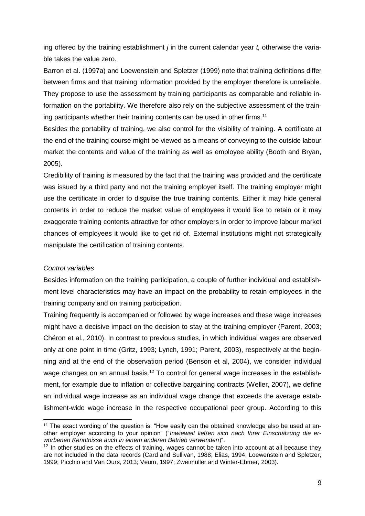ing offered by the training establishment *j* in the current calendar year *t,* otherwise the variable takes the value zero.

Barron et al. (1997a) and Loewenstein and Spletzer (1999) note that training definitions differ between firms and that training information provided by the employer therefore is unreliable. They propose to use the assessment by training participants as comparable and reliable information on the portability. We therefore also rely on the subjective assessment of the training participants whether their training contents can be used in other firms.<sup>11</sup>

Besides the portability of training, we also control for the visibility of training. A certificate at the end of the training course might be viewed as a means of conveying to the outside labour market the contents and value of the training as well as employee ability (Booth and Bryan, 2005).

Credibility of training is measured by the fact that the training was provided and the certificate was issued by a third party and not the training employer itself. The training employer might use the certificate in order to disguise the true training contents. Either it may hide general contents in order to reduce the market value of employees it would like to retain or it may exaggerate training contents attractive for other employers in order to improve labour market chances of employees it would like to get rid of. External institutions might not strategically manipulate the certification of training contents.

#### *Control variables*

 $\overline{a}$ 

Besides information on the training participation, a couple of further individual and establishment level characteristics may have an impact on the probability to retain employees in the training company and on training participation.

Training frequently is accompanied or followed by wage increases and these wage increases might have a decisive impact on the decision to stay at the training employer (Parent, 2003; Chéron et al., 2010). In contrast to previous studies, in which individual wages are observed only at one point in time (Gritz, 1993; Lynch, 1991; Parent, 2003), respectively at the beginning and at the end of the observation period (Benson et al, 2004), we consider individual wage changes on an annual basis.<sup>12</sup> To control for general wage increases in the establishment, for example due to inflation or collective bargaining contracts (Weller, 2007), we define an individual wage increase as an individual wage change that exceeds the average establishment-wide wage increase in the respective occupational peer group. According to this

<sup>&</sup>lt;sup>11</sup> The exact wording of the question is: "How easily can the obtained knowledge also be used at another employer according to your opinion" ("*Inwieweit ließen sich nach Ihrer Einschätzung die erworbenen Kenntnisse auch in einem anderen Betrieb verwenden*)".

 $12$  In other studies on the effects of training, wages cannot be taken into account at all because they are not included in the data records (Card and Sullivan, 1988; Elias, 1994; Loewenstein and Spletzer, 1999; Picchio and Van Ours, 2013; Veum, 1997; Zweimüller and Winter-Ebmer, 2003).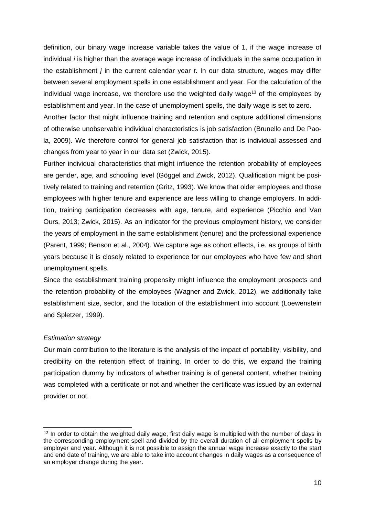definition, our binary wage increase variable takes the value of 1, if the wage increase of individual *i* is higher than the average wage increase of individuals in the same occupation in the establishment *j* in the current calendar year *t*. In our data structure, wages may differ between several employment spells in one establishment and year. For the calculation of the individual wage increase, we therefore use the weighted daily wage<sup>13</sup> of the employees by establishment and year. In the case of unemployment spells, the daily wage is set to zero.

Another factor that might influence training and retention and capture additional dimensions of otherwise unobservable individual characteristics is job satisfaction (Brunello and De Paola, 2009). We therefore control for general job satisfaction that is individual assessed and changes from year to year in our data set (Zwick, 2015).

Further individual characteristics that might influence the retention probability of employees are gender, age, and schooling level (Göggel and Zwick, 2012). Qualification might be positively related to training and retention (Gritz, 1993). We know that older employees and those employees with higher tenure and experience are less willing to change employers. In addition, training participation decreases with age, tenure, and experience (Picchio and Van Ours, 2013; Zwick, 2015). As an indicator for the previous employment history, we consider the years of employment in the same establishment (tenure) and the professional experience (Parent, 1999; Benson et al., 2004). We capture age as cohort effects, i.e. as groups of birth years because it is closely related to experience for our employees who have few and short unemployment spells.

Since the establishment training propensity might influence the employment prospects and the retention probability of the employees (Wagner and Zwick, 2012), we additionally take establishment size, sector, and the location of the establishment into account (Loewenstein and Spletzer, 1999).

#### *Estimation strategy*

Our main contribution to the literature is the analysis of the impact of portability, visibility, and credibility on the retention effect of training. In order to do this, we expand the training participation dummy by indicators of whether training is of general content, whether training was completed with a certificate or not and whether the certificate was issued by an external provider or not.

 $\overline{a}$ <sup>13</sup> In order to obtain the weighted daily wage, first daily wage is multiplied with the number of days in the corresponding employment spell and divided by the overall duration of all employment spells by employer and year. Although it is not possible to assign the annual wage increase exactly to the start and end date of training, we are able to take into account changes in daily wages as a consequence of an employer change during the year.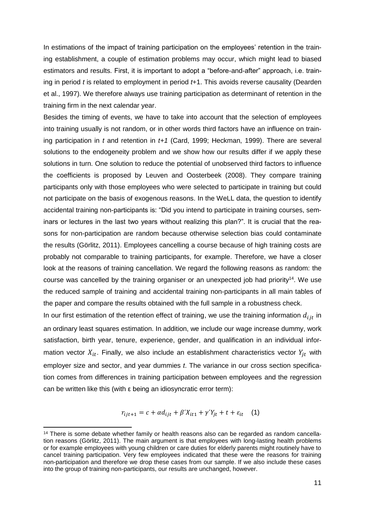In estimations of the impact of training participation on the employees' retention in the training establishment, a couple of estimation problems may occur, which might lead to biased estimators and results. First, it is important to adopt a "before-and-after" approach, i.e. training in period *t* is related to employment in period *t*+1. This avoids reverse causality (Dearden et al., 1997). We therefore always use training participation as determinant of retention in the training firm in the next calendar year.

Besides the timing of events, we have to take into account that the selection of employees into training usually is not random, or in other words third factors have an influence on training participation in *t* and retention in *t+1* (Card, 1999; Heckman, 1999). There are several solutions to the endogeneity problem and we show how our results differ if we apply these solutions in turn. One solution to reduce the potential of unobserved third factors to influence the coefficients is proposed by Leuven and Oosterbeek (2008). They compare training participants only with those employees who were selected to participate in training but could not participate on the basis of exogenous reasons. In the WeLL data, the question to identify accidental training non-participants is: "Did you intend to participate in training courses, seminars or lectures in the last two years without realizing this plan?". It is crucial that the reasons for non-participation are random because otherwise selection bias could contaminate the results (Görlitz, 2011). Employees cancelling a course because of high training costs are probably not comparable to training participants, for example. Therefore, we have a closer look at the reasons of training cancellation. We regard the following reasons as random: the course was cancelled by the training organiser or an unexpected job had priority<sup>14</sup>. We use the reduced sample of training and accidental training non-participants in all main tables of the paper and compare the results obtained with the full sample in a robustness check.

In our first estimation of the retention effect of training, we use the training information  $d_{ijt}$  in an ordinary least squares estimation. In addition, we include our wage increase dummy, work satisfaction, birth year, tenure, experience, gender, and qualification in an individual information vector  $X_{it}$ . Finally, we also include an establishment characteristics vector  $Y_{it}$  with employer size and sector, and year dummies *t*. The variance in our cross section specification comes from differences in training participation between employees and the regression can be written like this (with ε being an idiosyncratic error term):

$$
r_{ijt+1} = c + \alpha d_{ijt} + \beta' X_{it1} + \gamma' Y_{jt} + t + \varepsilon_{it} \quad (1)
$$

 $\overline{a}$ 

<sup>&</sup>lt;sup>14</sup> There is some debate whether family or health reasons also can be regarded as random cancellation reasons (Görlitz, 2011). The main argument is that employees with long-lasting health problems or for example employees with young children or care duties for elderly parents might routinely have to cancel training participation. Very few employees indicated that these were the reasons for training non-participation and therefore we drop these cases from our sample. If we also include these cases into the group of training non-participants, our results are unchanged, however.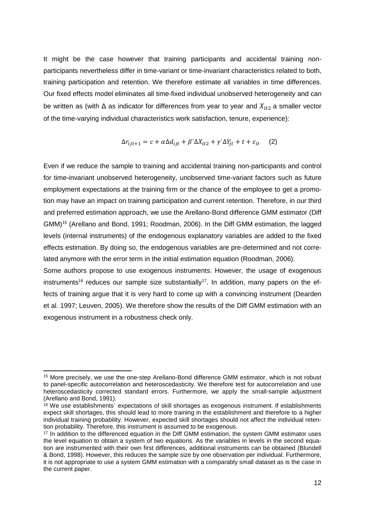It might be the case however that training participants and accidental training nonparticipants nevertheless differ in time-variant or time-invariant characteristics related to both, training participation and retention. We therefore estimate all variables in time differences. Our fixed effects model eliminates all time-fixed individual unobserved heterogeneity and can be written as (with  $\Delta$  as indicator for differences from year to year and  $X_{it2}$  a smaller vector of the time-varying individual characteristics work satisfaction, tenure, experience):

$$
\Delta r_{ijt+1} = c + \alpha \Delta d_{ijt} + \beta' \Delta X_{it2} + \gamma' \Delta Y_{jt} + t + \varepsilon_{it} \tag{2}
$$

Even if we reduce the sample to training and accidental training non-participants and control for time-invariant unobserved heterogeneity, unobserved time-variant factors such as future employment expectations at the training firm or the chance of the employee to get a promotion may have an impact on training participation and current retention. Therefore, in our third and preferred estimation approach, we use the Arellano-Bond difference GMM estimator (Diff GMM)<sup>15</sup> (Arellano and Bond, 1991; Roodman, 2006). In the Diff GMM estimation, the lagged levels (internal instruments) of the endogenous explanatory variables are added to the fixed effects estimation. By doing so, the endogenous variables are pre-determined and not correlated anymore with the error term in the initial estimation equation (Roodman, 2006).

Some authors propose to use exogenous instruments. However, the usage of exogenous instruments<sup>16</sup> reduces our sample size substantially<sup>17</sup>. In addition, many papers on the effects of training argue that it is very hard to come up with a convincing instrument (Dearden et al. 1997; Leuven, 2005). We therefore show the results of the Diff GMM estimation with an exogenous instrument in a robustness check only.

<sup>15</sup> More precisely, we use the one-step Arellano-Bond difference GMM estimator, which is not robust to panel-specific autocorrelation and heteroscedasticity. We therefore test for autocorrelation and use heteroscedasticity corrected standard errors. Furthermore, we apply the small-sample adjustment (Arellano and Bond, 1991).

 $16$  We use establishments<sup> $\epsilon$ </sup> expectations of skill shortages as exogenous instrument. If establishments expect skill shortages, this should lead to more training in the establishment and therefore to a higher individual training probability. However, expected skill shortages should not affect the individual retention probability. Therefore, this instrument is assumed to be exogenous.

<sup>&</sup>lt;sup>17</sup> In addition to the differenced equation in the Diff GMM estimation, the system GMM estimator uses the level equation to obtain a system of two equations. As the variables in levels in the second equation are instrumented with their own first differences, additional instruments can be obtained (Blundell & Bond, 1998). However, this reduces the sample size by one observation per individual. Furthermore, it is not appropriate to use a system GMM estimation with a comparably small dataset as is the case in the current paper.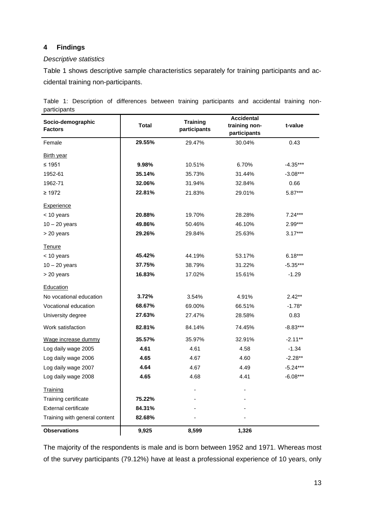## **4 Findings**

#### *Descriptive statistics*

Table 1 shows descriptive sample characteristics separately for training participants and accidental training non-participants.

| Socio-demographic<br><b>Factors</b> | <b>Total</b> | <b>Training</b><br>participants | <b>Accidental</b><br>training non-<br>participants | t-value    |
|-------------------------------------|--------------|---------------------------------|----------------------------------------------------|------------|
| Female                              | 29.55%       | 29.47%                          | 30.04%                                             | 0.43       |
| <b>Birth year</b>                   |              |                                 |                                                    |            |
| $≤ 1951$                            | 9.98%        | 10.51%                          | 6.70%                                              | $-4.35***$ |
| 1952-61                             | 35.14%       | 35.73%                          | 31.44%                                             | $-3.08***$ |
| 1962-71                             | 32.06%       | 31.94%                          | 32.84%                                             | 0.66       |
| $\geq 1972$                         | 22.81%       | 21.83%                          | 29.01%                                             | $5.87***$  |
| Experience                          |              |                                 |                                                    |            |
| $<$ 10 years                        | 20.88%       | 19.70%                          | 28.28%                                             | $7.24***$  |
| $10 - 20$ years                     | 49.86%       | 50.46%                          | 46.10%                                             | 2.99***    |
| > 20 years                          | 29.26%       | 29.84%                          | 25.63%                                             | $3.17***$  |
| Tenure                              |              |                                 |                                                    |            |
| < 10 years                          | 45.42%       | 44.19%                          | 53.17%                                             | $6.18***$  |
| $10 - 20$ years                     | 37.75%       | 38.79%                          | 31.22%                                             | $-5.35***$ |
| > 20 years                          | 16.83%       | 17.02%                          | 15.61%                                             | $-1.29$    |
| Education                           |              |                                 |                                                    |            |
| No vocational education             | 3.72%        | 3.54%                           | 4.91%                                              | $2.42**$   |
| Vocational education                | 68.67%       | 69.00%                          | 66.51%                                             | $-1.78*$   |
| University degree                   | 27.63%       | 27.47%                          | 28.58%                                             | 0.83       |
| Work satisfaction                   | 82.81%       | 84.14%                          | 74.45%                                             | $-8.83***$ |
| Wage increase dummy                 | 35.57%       | 35.97%                          | 32.91%                                             | $-2.11***$ |
| Log daily wage 2005                 | 4.61         | 4.61                            | 4.58                                               | $-1.34$    |
| Log daily wage 2006                 | 4.65         | 4.67                            | 4.60                                               | $-2.28**$  |
| Log daily wage 2007                 | 4.64         | 4.67                            | 4.49                                               | $-5.24***$ |
| Log daily wage 2008                 | 4.65         | 4.68                            | 4.41                                               | $-6.08***$ |
| Training                            |              |                                 |                                                    |            |
| Training certificate                | 75.22%       |                                 |                                                    |            |
| External certificate                | 84.31%       |                                 |                                                    |            |
| Training with general content       | 82.68%       |                                 |                                                    |            |

Table 1: Description of differences between training participants and accidental training nonparticipants

The majority of the respondents is male and is born between 1952 and 1971. Whereas most of the survey participants (79.12%) have at least a professional experience of 10 years, only

**Observations 9,925 8,599 1,326**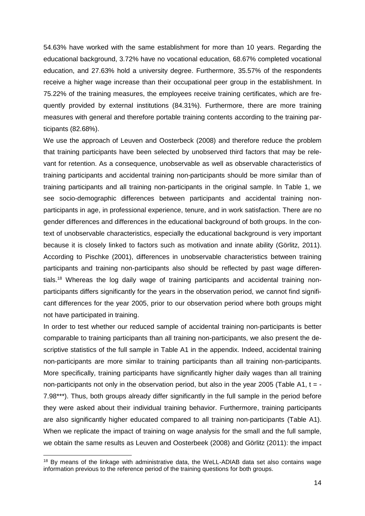54.63% have worked with the same establishment for more than 10 years. Regarding the educational background, 3.72% have no vocational education, 68.67% completed vocational education, and 27.63% hold a university degree. Furthermore, 35.57% of the respondents receive a higher wage increase than their occupational peer group in the establishment. In 75.22% of the training measures, the employees receive training certificates, which are frequently provided by external institutions (84.31%). Furthermore, there are more training measures with general and therefore portable training contents according to the training participants (82.68%).

We use the approach of Leuven and Oosterbeck (2008) and therefore reduce the problem that training participants have been selected by unobserved third factors that may be relevant for retention. As a consequence, unobservable as well as observable characteristics of training participants and accidental training non-participants should be more similar than of training participants and all training non-participants in the original sample. In Table 1, we see socio-demographic differences between participants and accidental training nonparticipants in age, in professional experience, tenure, and in work satisfaction. There are no gender differences and differences in the educational background of both groups. In the context of unobservable characteristics, especially the educational background is very important because it is closely linked to factors such as motivation and innate ability (Görlitz, 2011). According to Pischke (2001), differences in unobservable characteristics between training participants and training non-participants also should be reflected by past wage differentials.<sup>18</sup> Whereas the log daily wage of training participants and accidental training nonparticipants differs significantly for the years in the observation period, we cannot find significant differences for the year 2005, prior to our observation period where both groups might not have participated in training.

In order to test whether our reduced sample of accidental training non-participants is better comparable to training participants than all training non-participants, we also present the descriptive statistics of the full sample in Table A1 in the appendix. Indeed, accidental training non-participants are more similar to training participants than all training non-participants. More specifically, training participants have significantly higher daily wages than all training non-participants not only in the observation period, but also in the year 2005 (Table A1,  $t = -$ 7.98\*\*\*). Thus, both groups already differ significantly in the full sample in the period before they were asked about their individual training behavior. Furthermore, training participants are also significantly higher educated compared to all training non-participants (Table A1). When we replicate the impact of training on wage analysis for the small and the full sample, we obtain the same results as Leuven and Oosterbeek (2008) and Görlitz (2011): the impact

<sup>&</sup>lt;sup>18</sup> By means of the linkage with administrative data, the WeLL-ADIAB data set also contains wage information previous to the reference period of the training questions for both groups.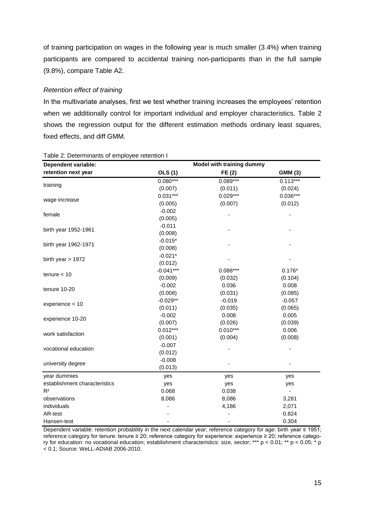of training participation on wages in the following year is much smaller (3.4%) when training participants are compared to accidental training non-participants than in the full sample (9.8%), compare Table A2.

#### *Retention effect of training*

In the multivariate analyses, first we test whether training increases the employees' retention when we additionally control for important individual and employer characteristics. Table 2 shows the regression output for the different estimation methods ordinary least squares, fixed effects, and diff GMM.

| <b>Dependent variable:</b>    | Model with training dummy |            |            |  |  |
|-------------------------------|---------------------------|------------|------------|--|--|
| retention next year           | <b>OLS</b> (1)            | FE(2)      | GMM (3)    |  |  |
|                               | $0.080***$                | $0.089***$ | $0.113***$ |  |  |
| training                      | (0.007)                   | (0.011)    | (0.024)    |  |  |
|                               | $0.031***$                | $0.029***$ | $0.036***$ |  |  |
| wage increase                 | (0.005)                   | (0.007)    | (0.012)    |  |  |
|                               | $-0.002$                  |            |            |  |  |
| female                        | (0.005)                   |            |            |  |  |
|                               | $-0.011$                  |            |            |  |  |
| birth year 1952-1961          | (0.008)                   |            |            |  |  |
|                               | $-0.015*$                 |            |            |  |  |
| birth year 1962-1971          | (0.008)                   |            |            |  |  |
|                               | $-0.021*$                 |            |            |  |  |
| birth year $> 1972$           | (0.012)                   |            |            |  |  |
|                               | $-0.041***$               | $0.088***$ | $0.176*$   |  |  |
| tenure $<$ 10                 | (0.009)                   | (0.032)    | (0.104)    |  |  |
| tenure 10-20                  | $-0.002$                  | 0.036      | 0.008      |  |  |
|                               | (0.008)                   | (0.031)    | (0.085)    |  |  |
| experience < 10               | $-0.029**$                | $-0.019$   | $-0.057$   |  |  |
|                               | (0.011)                   | (0.035)    | (0.065)    |  |  |
|                               | $-0.002$                  | 0.008      | 0.005      |  |  |
| experience 10-20              | (0.007)                   | (0.026)    | (0.039)    |  |  |
|                               | $0.012***$                | $0.010***$ | 0.006      |  |  |
| work satisfaction             | (0.001)                   | (0.004)    | (0.008)    |  |  |
|                               | $-0.007$                  |            |            |  |  |
| vocational education          | (0.012)                   |            |            |  |  |
|                               | $-0.008$                  |            |            |  |  |
| university degree             | (0.013)                   |            |            |  |  |
| year dummies                  | yes                       | yes        | yes        |  |  |
| establishment characteristics | yes                       | yes        | yes        |  |  |
| R <sup>2</sup>                | 0.068                     | 0.038      |            |  |  |
| observations                  | 8,086                     | 8,086      | 3,281      |  |  |
| individuals                   |                           | 4,186      | 2,071      |  |  |
| AR-test                       |                           |            | 0.824      |  |  |
| Hansen-test                   |                           |            | 0.304      |  |  |

#### Table 2: Determinants of employee retention I

Dependent variable: retention probability in the next calendar year; reference category for age: birth year ≤ 1951; reference category for tenure: tenure ≥ 20; reference category for experience: experience ≥ 20; reference category for education: no vocational education; establishment characteristics: size, sector; \*\*\* p < 0.01; \*\* p < 0.05; \* p < 0.1; Source: WeLL-ADIAB 2006-2010.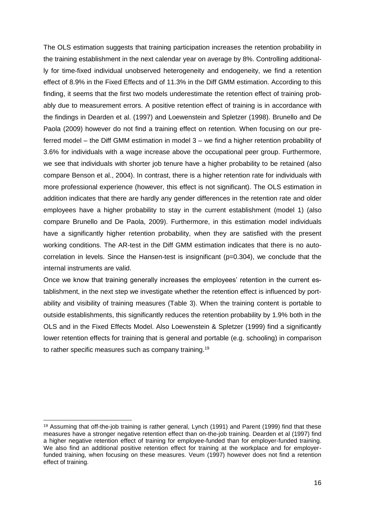The OLS estimation suggests that training participation increases the retention probability in the training establishment in the next calendar year on average by 8%. Controlling additionally for time-fixed individual unobserved heterogeneity and endogeneity, we find a retention effect of 8.9% in the Fixed Effects and of 11.3% in the Diff GMM estimation. According to this finding, it seems that the first two models underestimate the retention effect of training probably due to measurement errors. A positive retention effect of training is in accordance with the findings in Dearden et al. (1997) and Loewenstein and Spletzer (1998). Brunello and De Paola (2009) however do not find a training effect on retention. When focusing on our preferred model – the Diff GMM estimation in model 3 – we find a higher retention probability of 3.6% for individuals with a wage increase above the occupational peer group. Furthermore, we see that individuals with shorter job tenure have a higher probability to be retained (also compare Benson et al., 2004). In contrast, there is a higher retention rate for individuals with more professional experience (however, this effect is not significant). The OLS estimation in addition indicates that there are hardly any gender differences in the retention rate and older employees have a higher probability to stay in the current establishment (model 1) (also compare Brunello and De Paola, 2009). Furthermore, in this estimation model individuals have a significantly higher retention probability, when they are satisfied with the present working conditions. The AR-test in the Diff GMM estimation indicates that there is no autocorrelation in levels. Since the Hansen-test is insignificant (p=0.304), we conclude that the internal instruments are valid.

Once we know that training generally increases the employees' retention in the current establishment, in the next step we investigate whether the retention effect is influenced by portability and visibility of training measures (Table 3). When the training content is portable to outside establishments, this significantly reduces the retention probability by 1.9% both in the OLS and in the Fixed Effects Model. Also Loewenstein & Spletzer (1999) find a significantly lower retention effects for training that is general and portable (e.g. schooling) in comparison to rather specific measures such as company training.<sup>19</sup>

<sup>19</sup> Assuming that off-the-job training is rather general, Lynch (1991) and Parent (1999) find that these measures have a stronger negative retention effect than on-the-job training. Dearden et al (1997) find a higher negative retention effect of training for employee-funded than for employer-funded training. We also find an additional positive retention effect for training at the workplace and for employerfunded training, when focusing on these measures. Veum (1997) however does not find a retention effect of training.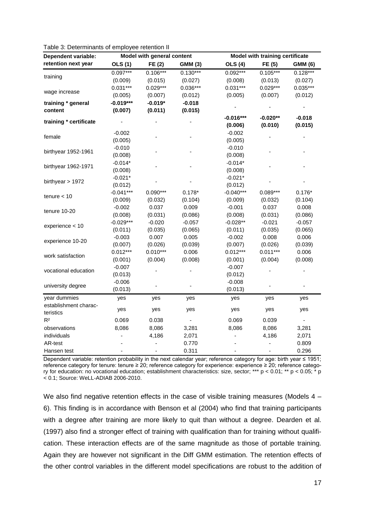| <b>Dependent variable:</b> |                          | Model with general content |                | Model with training certificate |            |                |
|----------------------------|--------------------------|----------------------------|----------------|---------------------------------|------------|----------------|
| retention next year        | <b>OLS</b> (1)           | FE (2)                     | <b>GMM (3)</b> | <b>OLS</b> (4)                  | FE (5)     | <b>GMM (6)</b> |
|                            | $0.097***$               | $0.106***$                 | $0.130***$     | $0.092***$                      | $0.105***$ | $0.128***$     |
| training                   | (0.009)                  | (0.015)                    | (0.027)        | (0.008)                         | (0.013)    | (0.027)        |
|                            | $0.031***$               | $0.029***$                 | $0.036***$     | $0.031***$                      | $0.029***$ | $0.035***$     |
| wage increase              | (0.005)                  | (0.007)                    | (0.012)        | (0.005)                         | (0.007)    | (0.012)        |
| training * general         | $-0.019***$              | $-0.019*$                  | $-0.018$       |                                 |            |                |
| content                    | (0.007)                  | (0.011)                    | (0.015)        |                                 |            |                |
| training * certificate     |                          |                            |                | $-0.016***$                     | $-0.020**$ | $-0.018$       |
|                            |                          |                            |                | (0.006)                         | (0.010)    | (0.015)        |
| female                     | $-0.002$                 |                            |                | $-0.002$                        |            |                |
|                            | (0.005)                  |                            |                | (0.005)                         |            |                |
| birthyear 1952-1961        | $-0.010$                 |                            |                | $-0.010$                        |            |                |
|                            | (0.008)                  |                            |                | (0.008)                         |            |                |
| birthyear 1962-1971        | $-0.014*$                |                            |                | $-0.014*$                       |            |                |
|                            | (0.008)                  |                            |                | (0.008)                         |            |                |
| birthyear $> 1972$         | $-0.021*$                |                            |                | $-0.021*$                       |            |                |
|                            | (0.012)                  |                            |                | (0.012)                         |            |                |
| $t$ enure $< 10$           | $-0.041***$              | $0.090***$                 | $0.178*$       | $-0.040***$                     | $0.089***$ | $0.176*$       |
|                            | (0.009)                  | (0.032)                    | (0.104)        | (0.009)                         | (0.032)    | (0.104)        |
| tenure 10-20               | $-0.002$                 | 0.037                      | 0.009          | $-0.001$                        | 0.037      | 0.008          |
|                            | (0.008)                  | (0.031)                    | (0.086)        | (0.008)                         | (0.031)    | (0.086)        |
| experience < 10            | $-0.029***$              | $-0.020$                   | $-0.057$       | $-0.028**$                      | $-0.021$   | $-0.057$       |
|                            | (0.011)                  | (0.035)                    | (0.065)        | (0.011)                         | (0.035)    | (0.065)        |
| experience 10-20           | $-0.003$                 | 0.007                      | 0.005          | $-0.002$                        | 0.008      | 0.006          |
|                            | (0.007)                  | (0.026)                    | (0.039)        | (0.007)                         | (0.026)    | (0.039)        |
| work satisfaction          | $0.012***$               | $0.010***$                 | 0.006          | $0.012***$                      | $0.011***$ | 0.006          |
|                            | (0.001)                  | (0.004)                    | (0.008)        | (0.001)                         | (0.004)    | (0.008)        |
| vocational education       | $-0.007$                 |                            |                | $-0.007$                        |            |                |
|                            | (0.013)                  |                            |                | (0.012)                         |            |                |
| university degree          | $-0.006$                 |                            |                | $-0.008$                        |            |                |
|                            | (0.013)                  |                            |                | (0.013)                         |            |                |
| year dummies               | yes                      | yes                        | yes            | yes                             | yes        | yes            |
| establishment charac-      |                          |                            |                |                                 |            |                |
| teristics                  | yes                      | yes                        | yes            | yes                             | yes        | yes            |
| R <sup>2</sup>             | 0.069                    | 0.038                      |                | 0.069                           | 0.039      |                |
| observations               | 8,086                    | 8,086                      | 3,281          | 8,086                           | 8,086      | 3,281          |
| individuals                | $\overline{\phantom{0}}$ | 4,186                      | 2,071          |                                 | 4,186      | 2,071          |
| AR-test                    |                          |                            | 0.770          |                                 | ÷,         | 0.809          |
| Hansen test                | $\overline{\phantom{0}}$ |                            | 0.311          | $\qquad \qquad \blacksquare$    |            | 0.296          |

Dependent variable: retention probability in the next calendar year; reference category for age: birth year ≤ 1951; reference category for tenure: tenure ≥ 20; reference category for experience: experience ≥ 20; reference category for education: no vocational education; establishment characteristics: size, sector; \*\*\* p < 0.01; \*\* p < 0.05; \* p < 0.1; Source: WeLL-ADIAB 2006-2010.

We also find negative retention effects in the case of visible training measures (Models 4 – 6). This finding is in accordance with Benson et al (2004) who find that training participants with a degree after training are more likely to quit than without a degree. Dearden et al. (1997) also find a stronger effect of training with qualification than for training without qualification. These interaction effects are of the same magnitude as those of portable training. Again they are however not significant in the Diff GMM estimation. The retention effects of the other control variables in the different model specifications are robust to the addition of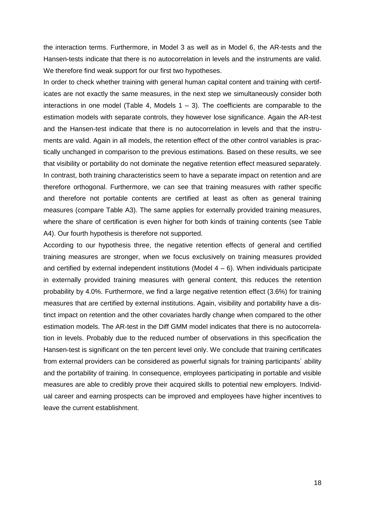the interaction terms. Furthermore, in Model 3 as well as in Model 6, the AR-tests and the Hansen-tests indicate that there is no autocorrelation in levels and the instruments are valid. We therefore find weak support for our first two hypotheses.

In order to check whether training with general human capital content and training with certificates are not exactly the same measures, in the next step we simultaneously consider both interactions in one model (Table 4, Models  $1 - 3$ ). The coefficients are comparable to the estimation models with separate controls, they however lose significance. Again the AR-test and the Hansen-test indicate that there is no autocorrelation in levels and that the instruments are valid. Again in all models, the retention effect of the other control variables is practically unchanged in comparison to the previous estimations. Based on these results, we see that visibility or portability do not dominate the negative retention effect measured separately. In contrast, both training characteristics seem to have a separate impact on retention and are therefore orthogonal. Furthermore, we can see that training measures with rather specific and therefore not portable contents are certified at least as often as general training measures (compare Table A3). The same applies for externally provided training measures, where the share of certification is even higher for both kinds of training contents (see Table A4). Our fourth hypothesis is therefore not supported.

According to our hypothesis three, the negative retention effects of general and certified training measures are stronger, when we focus exclusively on training measures provided and certified by external independent institutions (Model  $4 - 6$ ). When individuals participate in externally provided training measures with general content, this reduces the retention probability by 4.0%. Furthermore, we find a large negative retention effect (3.6%) for training measures that are certified by external institutions. Again, visibility and portability have a distinct impact on retention and the other covariates hardly change when compared to the other estimation models. The AR-test in the Diff GMM model indicates that there is no autocorrelation in levels. Probably due to the reduced number of observations in this specification the Hansen-test is significant on the ten percent level only. We conclude that training certificates from external providers can be considered as powerful signals for training participants´ ability and the portability of training. In consequence, employees participating in portable and visible measures are able to credibly prove their acquired skills to potential new employers. Individual career and earning prospects can be improved and employees have higher incentives to leave the current establishment.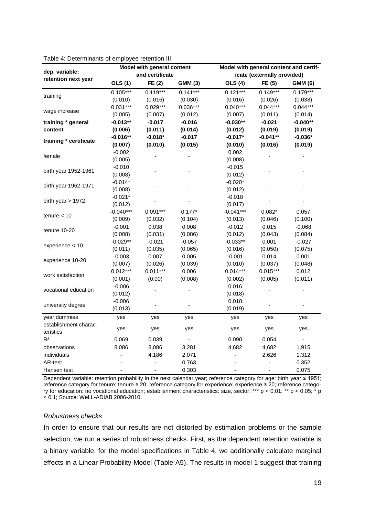|                        |                | Model with general content |                | Model with general content and certif- |                              |                |  |
|------------------------|----------------|----------------------------|----------------|----------------------------------------|------------------------------|----------------|--|
| dep. variable:         |                | and certificate            |                |                                        | icate (externally provided)  |                |  |
| retention next year    | <b>OLS (1)</b> | FE (2)                     | <b>GMM (3)</b> | <b>OLS</b> (4)                         | FE (5)                       | <b>GMM (6)</b> |  |
|                        | $0.105***$     | $0.119***$                 | $0.141***$     | $0.121***$                             | $0.149***$                   | $0.179***$     |  |
| training               | (0.010)        | (0.016)                    | (0.030)        | (0.016)                                | (0.026)                      | (0.038)        |  |
|                        | $0.031***$     | $0.029***$                 | $0.036***$     | $0.040***$                             | $0.044***$                   | $0.044***$     |  |
| wage increase          | (0.005)        | (0.007)                    | (0.012)        | (0.007)                                | (0.011)                      | (0.014)        |  |
| training * general     | $-0.013**$     | $-0.017$                   | $-0.016$       | $-0.030**$                             | $-0.021$                     | $-0.040**$     |  |
| content                | (0.006)        | (0.011)                    | (0.014)        | (0.012)                                | (0.019)                      | (0.019)        |  |
|                        | $-0.016**$     | $-0.018*$                  | $-0.017$       | $-0.017*$                              | $-0.041**$                   | $-0.036*$      |  |
| training * certificate | (0.007)        | (0.010)                    | (0.015)        | (0.010)                                | (0.016)                      | (0.019)        |  |
|                        | $-0.002$       |                            |                | 0.002                                  |                              |                |  |
| female                 | (0.005)        |                            |                | (0.008)                                |                              |                |  |
|                        | $-0.010$       |                            |                | $-0.015$                               |                              |                |  |
| birth year 1952-1961   | (0.008)        |                            |                | (0.012)                                |                              |                |  |
|                        | $-0.014*$      |                            |                | $-0.020*$                              |                              |                |  |
| birth year 1962-1971   | (0.008)        |                            |                | (0.012)                                |                              |                |  |
| birth year > 1972      | $-0.021*$      |                            |                | $-0.018$                               |                              |                |  |
|                        | (0.012)        |                            |                | (0.017)                                |                              |                |  |
|                        | $-0.040***$    | $0.091***$                 | $0.177*$       | $-0.041***$                            | $0.082*$                     | 0.057          |  |
| tenure $<$ 10          | (0.009)        | (0.032)                    | (0.104)        | (0.013)                                | (0.046)                      | (0.100)        |  |
|                        | $-0.001$       | 0.038                      | 0.008          | $-0.012$                               | 0.015                        | $-0.068$       |  |
| tenure 10-20           | (0.008)        | (0.031)                    | (0.086)        | (0.012)                                | (0.043)                      | (0.084)        |  |
|                        | $-0.029**$     | $-0.021$                   | $-0.057$       | $-0.033**$                             | 0.001                        | $-0.027$       |  |
| experience < 10        | (0.011)        | (0.035)                    | (0.065)        | (0.016)                                | (0.050)                      | (0.075)        |  |
|                        | $-0.003$       | 0.007                      | 0.005          | $-0.001$                               | 0.014                        | 0.001          |  |
| experience 10-20       | (0.007)        | (0.026)                    | (0.039)        | (0.010)                                | (0.037)                      | (0.048)        |  |
| work satisfaction      | $0.012***$     | $0.011***$                 | 0.006          | $0.014***$                             | $0.015***$                   | 0.012          |  |
|                        | (0.001)        | (0.00)                     | (0.008)        | (0.002)                                | (0.005)                      | (0.011)        |  |
| vocational education   | $-0.006$       |                            |                | 0.016                                  |                              |                |  |
|                        | (0.012)        |                            |                | (0.018)                                |                              |                |  |
| university degree      | $-0.006$       |                            |                | 0.018                                  |                              |                |  |
|                        | (0.013)        |                            |                | (0.019)                                |                              |                |  |
| year dummies           | yes            | yes                        | yes            | yes                                    | yes                          | yes            |  |
| establishment charac-  |                |                            |                |                                        |                              |                |  |
| teristics              | yes            | yes                        | yes            | yes                                    | yes                          | yes            |  |
| R <sup>2</sup>         | 0.069          | 0.039                      |                | 0.090                                  | 0.054                        |                |  |
| observations           | 8,086          | 8,086                      | 3,281          | 4,682                                  | 4,682                        | 1,915          |  |
| individuals            |                | 4,186                      | 2,071          |                                        | 2,626                        | 1,312          |  |
| AR-test                |                |                            | 0.763          |                                        | ÷,                           | 0.352          |  |
| Hansen test            |                | -                          | 0.303          |                                        | $\qquad \qquad \blacksquare$ | 0.075          |  |

Table 4: Determinants of employee retention III

Dependent variable: retention probability in the next calendar year; reference category for age: birth year ≤ 1951; reference category for tenure: tenure ≥ 20; reference category for experience: experience ≥ 20; reference category for education: no vocational education; establishment characteristics: size, sector; \*\*\* p < 0.01; \*\* p < 0.05; \* p < 0.1; Source: WeLL-ADIAB 2006-2010.

#### *Robustness checks*

In order to ensure that our results are not distorted by estimation problems or the sample selection, we run a series of robustness checks. First, as the dependent retention variable is a binary variable, for the model specifications in Table 4, we additionally calculate marginal effects in a Linear Probability Model (Table A5). The results in model 1 suggest that training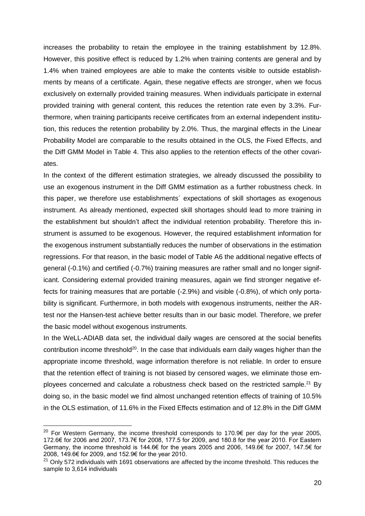increases the probability to retain the employee in the training establishment by 12.8%. However, this positive effect is reduced by 1.2% when training contents are general and by 1.4% when trained employees are able to make the contents visible to outside establishments by means of a certificate. Again, these negative effects are stronger, when we focus exclusively on externally provided training measures. When individuals participate in external provided training with general content, this reduces the retention rate even by 3.3%. Furthermore, when training participants receive certificates from an external independent institution, this reduces the retention probability by 2.0%. Thus, the marginal effects in the Linear Probability Model are comparable to the results obtained in the OLS, the Fixed Effects, and the Diff GMM Model in Table 4. This also applies to the retention effects of the other covariates.

In the context of the different estimation strategies, we already discussed the possibility to use an exogenous instrument in the Diff GMM estimation as a further robustness check. In this paper, we therefore use establishments´ expectations of skill shortages as exogenous instrument. As already mentioned, expected skill shortages should lead to more training in the establishment but shouldn't affect the individual retention probability. Therefore this instrument is assumed to be exogenous. However, the required establishment information for the exogenous instrument substantially reduces the number of observations in the estimation regressions. For that reason, in the basic model of Table A6 the additional negative effects of general (-0.1%) and certified (-0.7%) training measures are rather small and no longer significant. Considering external provided training measures, again we find stronger negative effects for training measures that are portable (-2.9%) and visible (-0.8%), of which only portability is significant. Furthermore, in both models with exogenous instruments, neither the ARtest nor the Hansen-test achieve better results than in our basic model. Therefore, we prefer the basic model without exogenous instruments.

In the WeLL-ADIAB data set, the individual daily wages are censored at the social benefits contribution income threshold $20$ . In the case that individuals earn daily wages higher than the appropriate income threshold, wage information therefore is not reliable. In order to ensure that the retention effect of training is not biased by censored wages, we eliminate those employees concerned and calculate a robustness check based on the restricted sample.<sup>21</sup> By doing so, in the basic model we find almost unchanged retention effects of training of 10.5% in the OLS estimation, of 11.6% in the Fixed Effects estimation and of 12.8% in the Diff GMM

<sup>&</sup>lt;sup>20</sup> For Western Germany, the income threshold corresponds to 170.9€ per day for the year 2005, 172.6€ for 2006 and 2007, 173.7€ for 2008, 177.5 for 2009, and 180.8 for the year 2010. For Eastern Germany, the income threshold is 144.6€ for the years 2005 and 2006, 149.6€ for 2007, 147.5€ for 2008, 149.6€ for 2009, and 152.9€ for the year 2010.

 $21$  Only 572 individuals with 1691 observations are affected by the income threshold. This reduces the sample to 3,614 individuals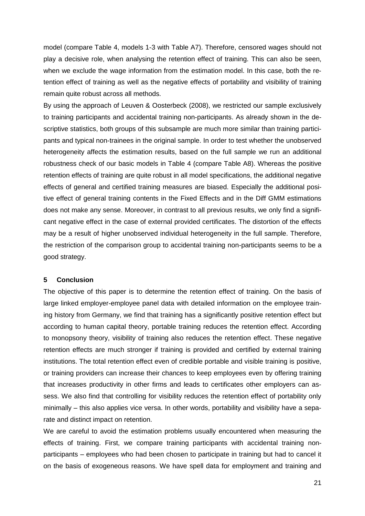model (compare Table 4, models 1-3 with Table A7). Therefore, censored wages should not play a decisive role, when analysing the retention effect of training. This can also be seen, when we exclude the wage information from the estimation model. In this case, both the retention effect of training as well as the negative effects of portability and visibility of training remain quite robust across all methods.

By using the approach of Leuven & Oosterbeck (2008), we restricted our sample exclusively to training participants and accidental training non-participants. As already shown in the descriptive statistics, both groups of this subsample are much more similar than training participants and typical non-trainees in the original sample. In order to test whether the unobserved heterogeneity affects the estimation results, based on the full sample we run an additional robustness check of our basic models in Table 4 (compare Table A8). Whereas the positive retention effects of training are quite robust in all model specifications, the additional negative effects of general and certified training measures are biased. Especially the additional positive effect of general training contents in the Fixed Effects and in the Diff GMM estimations does not make any sense. Moreover, in contrast to all previous results, we only find a significant negative effect in the case of external provided certificates. The distortion of the effects may be a result of higher unobserved individual heterogeneity in the full sample. Therefore, the restriction of the comparison group to accidental training non-participants seems to be a good strategy.

#### **5 Conclusion**

The objective of this paper is to determine the retention effect of training. On the basis of large linked employer-employee panel data with detailed information on the employee training history from Germany, we find that training has a significantly positive retention effect but according to human capital theory, portable training reduces the retention effect. According to monopsony theory, visibility of training also reduces the retention effect. These negative retention effects are much stronger if training is provided and certified by external training institutions. The total retention effect even of credible portable and visible training is positive, or training providers can increase their chances to keep employees even by offering training that increases productivity in other firms and leads to certificates other employers can assess. We also find that controlling for visibility reduces the retention effect of portability only minimally – this also applies vice versa. In other words, portability and visibility have a separate and distinct impact on retention.

We are careful to avoid the estimation problems usually encountered when measuring the effects of training. First, we compare training participants with accidental training nonparticipants – employees who had been chosen to participate in training but had to cancel it on the basis of exogeneous reasons. We have spell data for employment and training and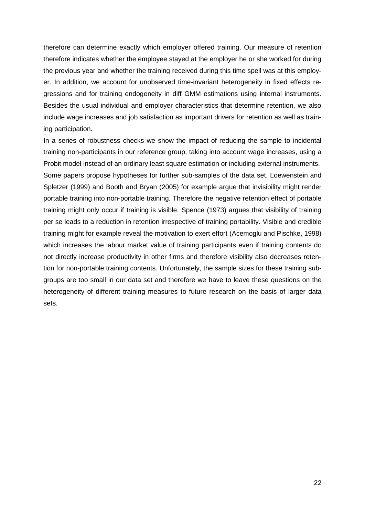therefore can determine exactly which employer offered training. Our measure of retention therefore indicates whether the employee stayed at the employer he or she worked for during the previous year and whether the training received during this time spell was at this employer. In addition, we account for unobserved time-invariant heterogeneity in fixed effects regressions and for training endogeneity in diff GMM estimations using internal instruments. Besides the usual individual and employer characteristics that determine retention, we also include wage increases and job satisfaction as important drivers for retention as well as training participation.

In a series of robustness checks we show the impact of reducing the sample to incidental training non-participants in our reference group, taking into account wage increases, using a Probit model instead of an ordinary least square estimation or including external instruments. Some papers propose hypotheses for further sub-samples of the data set. Loewenstein and Spletzer (1999) and Booth and Bryan (2005) for example argue that invisibility might render portable training into non-portable training. Therefore the negative retention effect of portable training might only occur if training is visible. Spence (1973) argues that visibility of training per se leads to a reduction in retention irrespective of training portability. Visible and credible training might for example reveal the motivation to exert effort (Acemoglu and Pischke, 1998) which increases the labour market value of training participants even if training contents do not directly increase productivity in other firms and therefore visibility also decreases retention for non-portable training contents. Unfortunately, the sample sizes for these training subgroups are too small in our data set and therefore we have to leave these questions on the heterogeneity of different training measures to future research on the basis of larger data sets.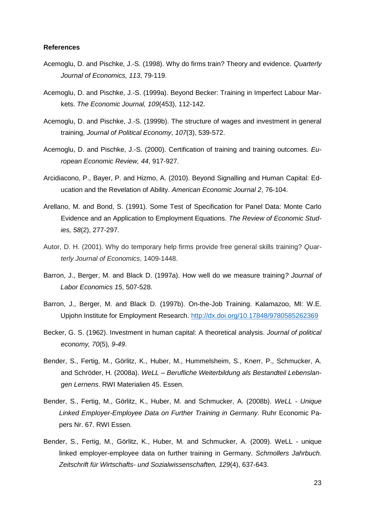#### **References**

- Acemoglu, D. and Pischke, J.-S. (1998). Why do firms train? Theory and evidence. *Quarterly Journal of Economics, 113*, 79-119.
- Acemoglu, D. and Pischke, J.-S. (1999a). Beyond Becker: Training in Imperfect Labour Markets. *The Economic Journal, 109*(453), 112-142.
- Acemoglu, D. and Pischke, J.-S. (1999b). The structure of wages and investment in general training, *Journal of Political Economy*, *107*(3), 539-572.
- Acemoglu, D. and Pischke, J.-S. (2000). Certification of training and training outcomes. *European Economic Review, 44*, 917-927.
- Arcidiacono, P., Bayer, P. and Hizmo, A. (2010). Beyond Signalling and Human Capital: Education and the Revelation of Ability. *American Economic Journal 2*, 76-104.
- Arellano, M. and Bond, S. (1991). Some Test of Specification for Panel Data: Monte Carlo Evidence and an Application to Employment Equations. *The Review of Economic Studies, 58*(2), 277-297.
- Autor, D. H. (2001). Why do temporary help firms provide free general skills training? *Quarterly Journal of Economics*, 1409-1448.
- Barron, J., Berger, M. and Black D. (1997a). How well do we measure training*? Journal of Labor Economics 15*, 507-528.
- Barron, J., Berger, M. and Black D. (1997b). On-the-Job Training. Kalamazoo, MI: W.E. Upjohn Institute for Employment Research.<http://dx.doi.org/10.17848/9780585262369>
- Becker, G. S. (1962). Investment in human capital: A theoretical analysis. *Journal of political economy, 70*(5)*, 9-49*.
- Bender, S., Fertig, M., Görlitz, K., Huber, M., Hummelsheim, S., Knerr, P., Schmucker, A. and Schröder, H. (2008a). *WeLL – Berufliche Weiterbildung als Bestandteil Lebenslangen Lernens*. RWI Materialien 45. Essen.
- Bender, S., Fertig, M., Görlitz, K., Huber, M. and Schmucker, A. (2008b). *WeLL - Unique Linked Employer-Employee Data on Further Training in Germany.* Ruhr Economic Papers Nr. 67. RWI Essen.
- Bender, S., Fertig, M., Görlitz, K., Huber, M. and Schmucker, A. (2009). WeLL unique linked employer-employee data on further training in Germany. *Schmollers Jahrbuch. Zeitschrift für Wirtschafts- und Sozialwissenschaften, 129*(4), 637-643.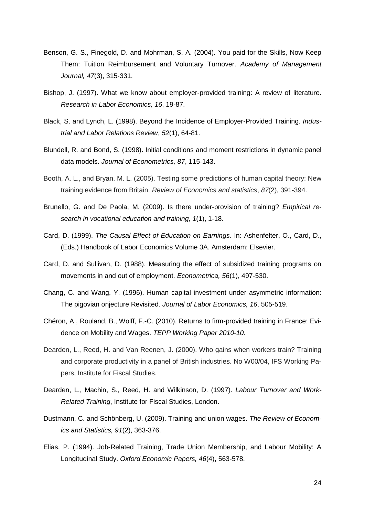- Benson, G. S., Finegold, D. and Mohrman, S. A. (2004). You paid for the Skills, Now Keep Them: Tuition Reimbursement and Voluntary Turnover. *Academy of Management Journal, 47*(3), 315-331.
- Bishop, J. (1997). What we know about employer-provided training: A review of literature. *Research in Labor Economics, 16*, 19-87.
- Black, S. and Lynch, L. (1998). Beyond the Incidence of Employer-Provided Training. *Industrial and Labor Relations Review*, *52*(1), 64-81.
- Blundell, R. and Bond, S. (1998). Initial conditions and moment restrictions in dynamic panel data models. *Journal of Econometrics, 87*, 115-143.
- Booth, A. L., and Bryan, M. L. (2005). Testing some predictions of human capital theory: New training evidence from Britain. *Review of Economics and statistics*, *87*(2), 391-394.
- Brunello, G. and De Paola, M. (2009). Is there under-provision of training? *Empirical research in vocational education and training*, *1*(1), 1-18.
- Card, D. (1999). *The Causal Effect of Education on Earnings*. In: Ashenfelter, O., Card, D., (Eds.) Handbook of Labor Economics Volume 3A. Amsterdam: Elsevier.
- Card, D. and Sullivan, D. (1988). Measuring the effect of subsidized training programs on movements in and out of employment. *Econometrica, 56*(1), 497-530.
- Chang, C. and Wang, Y. (1996). Human capital investment under asymmetric information: The pigovian onjecture Revisited. *Journal of Labor Economics, 16*, 505-519.
- Chéron, A., Rouland, B., Wolff, F.-C. (2010). Returns to firm-provided training in France: Evidence on Mobility and Wages. *TEPP Working Paper 2010-10*.
- Dearden, L., Reed, H. and Van Reenen, J. (2000). Who gains when workers train? Training and corporate productivity in a panel of British industries. No W00/04, IFS Working Papers, Institute for Fiscal Studies.
- Dearden, L., Machin, S., Reed, H. and Wilkinson, D. (1997). *Labour Turnover and Work-Related Training*, Institute for Fiscal Studies, London.
- Dustmann, C. and Schönberg, U. (2009). Training and union wages. *The Review of Economics and Statistics, 91*(2), 363-376.
- Elias, P. (1994). Job-Related Training, Trade Union Membership, and Labour Mobility: A Longitudinal Study. *Oxford Economic Papers, 46*(4), 563-578.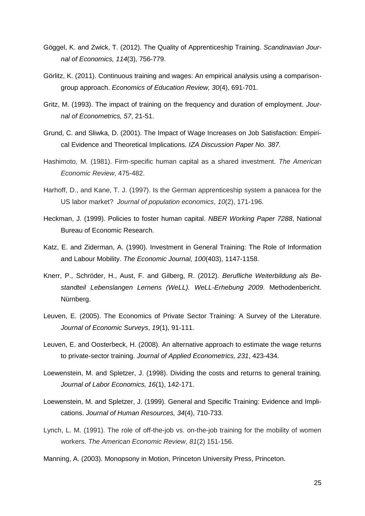- Göggel, K. and Zwick, T. (2012). The Quality of Apprenticeship Training. *Scandinavian Journal of Economics, 114*(3), 756-779.
- Görlitz, K. (2011). Continuous training and wages: An empirical analysis using a comparisongroup approach. *Economics of Education Review, 30*(4), 691-701.
- Gritz, M. (1993). The impact of training on the frequency and duration of employment. *Journal of Econometrics, 57*, 21-51.
- Grund, C. and Sliwka, D. (2001). The Impact of Wage Increases on Job Satisfaction: Empirical Evidence and Theoretical Implications. *IZA Discussion Paper No. 387.*
- Hashimoto, M. (1981). Firm-specific human capital as a shared investment. *The American Economic Review*, 475-482.
- Harhoff, D., and Kane, T. J. (1997). Is the German apprenticeship system a panacea for the US labor market? *Journal of population economics*, *10*(2), 171-196.
- Heckman, J. (1999). Policies to foster human capital. *NBER Working Paper 7288*, National Bureau of Economic Research.
- Katz, E. and Ziderman, A. (1990). Investment in General Training: The Role of Information and Labour Mobility. *The Economic Journal, 100*(403), 1147-1158.
- Knerr, P., Schröder, H., Aust, F. and Gilberg, R. (2012). *Berufliche Weiterbildung als Bestandteil Lebenslangen Lernens (WeLL). WeLL-Erhebung 2009*. Methodenbericht. Nürnberg.
- Leuven, E. (2005). The Economics of Private Sector Training: A Survey of the Literature. *Journal of Economic Surveys*, *19*(1), 91-111.
- Leuven, E. and Oosterbeck, H. (2008). An alternative approach to estimate the wage returns to private-sector training. *Journal of Applied Econometrics, 231*, 423-434.
- Loewenstein, M. and Spletzer, J. (1998). Dividing the costs and returns to general training. *Journal of Labor Economics, 16*(1), 142-171.
- Loewenstein, M. and Spletzer, J. (1999). General and Specific Training: Evidence and Implications. *Journal of Human Resources, 34*(4), 710-733.
- Lynch, L. M. (1991). The role of off-the-job vs. on-the-job training for the mobility of women workers. *The American Economic Review*, *81*(2) 151-156.

Manning, A. (2003). Monopsony in Motion, Princeton University Press, Princeton.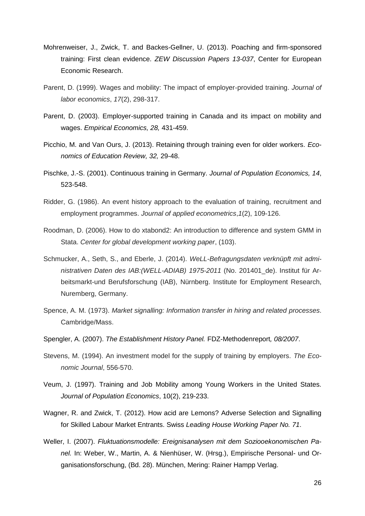- Mohrenweiser, J., Zwick, T. and Backes-Gellner, U. (2013). Poaching and firm-sponsored training: First clean evidence. *ZEW Discussion Papers 13-037*, Center for European Economic Research.
- Parent, D. (1999). Wages and mobility: The impact of employer-provided training. *Journal of labor economics*, *17*(2), 298-317.
- Parent, D. (2003). Employer-supported training in Canada and its impact on mobility and wages. *Empirical Economics, 28,* 431-459.
- Picchio, M. and Van Ours, J. (2013). Retaining through training even for older workers. *Economics of Education Review, 32,* 29-48.
- Pischke, J.-S. (2001). Continuous training in Germany. *Journal of Population Economics, 14*, 523-548.
- Ridder, G. (1986). An event history approach to the evaluation of training, recruitment and employment programmes. *Journal of applied econometrics*,*1*(2), 109-126.
- Roodman, D. (2006). How to do xtabond2: An introduction to difference and system GMM in Stata. *Center for global development working paper*, (103).
- Schmucker, A., Seth, S., and Eberle, J. (2014). *WeLL-Befragungsdaten verknüpft mit administrativen Daten des IAB:(WELL-ADIAB) 1975-2011* (No. 201401\_de). Institut für Arbeitsmarkt-und Berufsforschung (IAB), Nürnberg. Institute for Employment Research, Nuremberg, Germany.
- Spence, A. M. (1973). *Market signalling: Information transfer in hiring and related processes*. Cambridge/Mass.
- Spengler, A. (2007). *The Establishment History Panel.* FDZ-Methodenreport*, 08/2007*.
- Stevens, M. (1994). An investment model for the supply of training by employers. *The Economic Journal*, 556-570.
- Veum, J. (1997). Training and Job Mobility among Young Workers in the United States. *Journal of Population Economics*, 10(2), 219-233.
- Wagner, R. and Zwick, T. (2012). How acid are Lemons? Adverse Selection and Signalling for Skilled Labour Market Entrants. Swiss *Leading House Working Paper No. 71*.
- Weller, I. (2007). *Fluktuationsmodelle: Ereignisanalysen mit dem Soziooekonomischen Panel.* In: Weber, W., Martin, A. & Nienhüser, W. (Hrsg.), Empirische Personal- und Organisationsforschung, (Bd. 28). München, Mering: Rainer Hampp Verlag.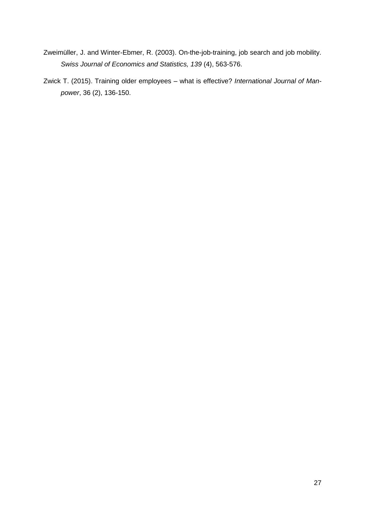- Zweimüller, J. and Winter-Ebmer, R. (2003). On-the-job-training, job search and job mobility. *Swiss Journal of Economics and Statistics, 139* (4), 563-576.
- Zwick T. (2015). Training older employees what is effective? *International Journal of Manpower*, 36 (2), 136-150.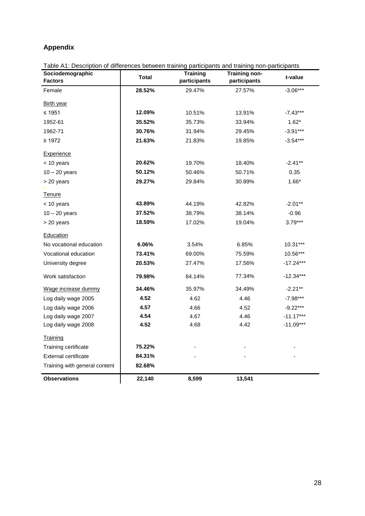## **Appendix**

| Table A1: Description of differences between training participants and training non-participants<br>Sociodemographic |              | <b>Training</b> | <b>Training non-</b> |             |
|----------------------------------------------------------------------------------------------------------------------|--------------|-----------------|----------------------|-------------|
| <b>Factors</b>                                                                                                       | <b>Total</b> | participants    | participants         | t-value     |
| Female                                                                                                               | 28.52%       | 29.47%          | 27.57%               | $-3.06***$  |
| Birth year                                                                                                           |              |                 |                      |             |
| ≤ 1951                                                                                                               | 12.09%       | 10.51%          | 13.91%               | $-7.43***$  |
| 1952-61                                                                                                              | 35.52%       | 35.73%          | 33.94%               | $1.62*$     |
| 1962-71                                                                                                              | 30.76%       | 31.94%          | 29.45%               | $-3.91***$  |
| $\geq 1972$                                                                                                          | 21.63%       | 21.83%          | 19.85%               | $-3.54***$  |
| <b>Experience</b>                                                                                                    |              |                 |                      |             |
| < 10 years                                                                                                           | 20.62%       | 19.70%          | 18.40%               | $-2.41**$   |
| $10 - 20$ years                                                                                                      | 50.12%       | 50.46%          | 50.71%               | 0.35        |
| > 20 years                                                                                                           | 29.27%       | 29.84%          | 30.89%               | $1.66*$     |
| <b>Tenure</b>                                                                                                        |              |                 |                      |             |
| < 10 years                                                                                                           | 43.89%       | 44.19%          | 42.82%               | $-2.01**$   |
| $10 - 20$ years                                                                                                      | 37.52%       | 38.79%          | 38.14%               | $-0.96$     |
| > 20 years                                                                                                           | 18.59%       | 17.02%          | 19.04%               | $3.79***$   |
| Education                                                                                                            |              |                 |                      |             |
| No vocational education                                                                                              | 6.06%        | 3.54%           | 6.85%                | 10.31***    |
| Vocational education                                                                                                 | 73.41%       | 69.00%          | 75.59%               | 10.56***    |
| University degree                                                                                                    | 20.53%       | 27.47%          | 17.56%               | $-17.24***$ |
| Work satisfaction                                                                                                    | 79.98%       | 84.14%          | 77.34%               | $-12.34***$ |
| Wage increase dummy                                                                                                  | 34.46%       | 35.97%          | 34.49%               | $-2.21**$   |
| Log daily wage 2005                                                                                                  | 4.52         | 4.62            | 4.46                 | $-7.98***$  |
| Log daily wage 2006                                                                                                  | 4.57         | 4.66            | 4.52                 | $-9.22***$  |
| Log daily wage 2007                                                                                                  | 4.54         | 4.67            | 4.46                 | $-11.17***$ |
| Log daily wage 2008                                                                                                  | 4.52         | 4.68            | 4.42                 | $-11.09***$ |
| Training                                                                                                             |              |                 |                      |             |
| Training certificate                                                                                                 | 75.22%       |                 |                      |             |
| External certificate                                                                                                 | 84.31%       |                 |                      |             |
| Training with general content                                                                                        | 82.68%       |                 |                      |             |
| <b>Observations</b>                                                                                                  | 22,140       | 8,599           | 13,541               |             |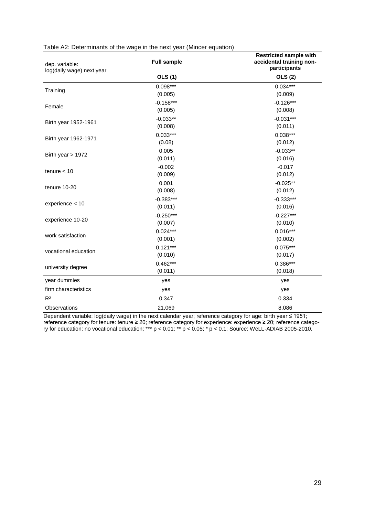| dep. variable:<br>log(daily wage) next year | <b>Full sample</b> | <b>Restricted sample with</b><br>accidental training non-<br>participants |
|---------------------------------------------|--------------------|---------------------------------------------------------------------------|
|                                             | <b>OLS</b> (1)     | <b>OLS (2)</b>                                                            |
|                                             | $0.098***$         | $0.034***$                                                                |
| Training                                    | (0.005)            | (0.009)                                                                   |
| Female                                      | $-0.158***$        | $-0.126***$                                                               |
|                                             | (0.005)            | (0.008)                                                                   |
| Birth year 1952-1961                        | $-0.033**$         | $-0.031***$                                                               |
|                                             | (0.008)            | (0.011)                                                                   |
|                                             | $0.033***$         | $0.038***$                                                                |
| Birth year 1962-1971                        | (0.08)             | (0.012)                                                                   |
|                                             | 0.005              | $-0.033**$                                                                |
| Birth year $> 1972$                         | (0.011)            | (0.016)                                                                   |
|                                             | $-0.002$           | $-0.017$                                                                  |
| tenure $<$ 10                               | (0.009)            | (0.012)                                                                   |
|                                             | 0.001              | $-0.025**$                                                                |
| tenure 10-20                                | (0.008)            | (0.012)                                                                   |
|                                             | $-0.383***$        | $-0.333***$                                                               |
| experience < 10                             | (0.011)            | (0.016)                                                                   |
|                                             | $-0.250***$        | $-0.227***$                                                               |
| experience 10-20                            | (0.007)            | (0.010)                                                                   |
|                                             | $0.024***$         | $0.016***$                                                                |
| work satisfaction                           | (0.001)            | (0.002)                                                                   |
| vocational education                        | $0.121***$         | $0.075***$                                                                |
|                                             | (0.010)            | (0.017)                                                                   |
|                                             | $0.462***$         | $0.386***$                                                                |
| university degree                           | (0.011)            | (0.018)                                                                   |
| year dummies                                | yes                | yes                                                                       |
| firm characteristics                        | yes                | yes                                                                       |
| R <sup>2</sup>                              | 0.347              | 0.334                                                                     |
| Observations                                | 21,069             | 8,086                                                                     |

| Table A2: Determinants of the wage in the next year (Mincer equation) |  |  |
|-----------------------------------------------------------------------|--|--|
|                                                                       |  |  |

Dependent variable: log(daily wage) in the next calendar year; reference category for age: birth year ≤ 1951; reference category for tenure: tenure ≥ 20; reference category for experience: experience ≥ 20; reference category for education: no vocational education; \*\*\* p < 0.01; \*\* p < 0.05; \* p < 0.1; Source: WeLL-ADIAB 2005-2010.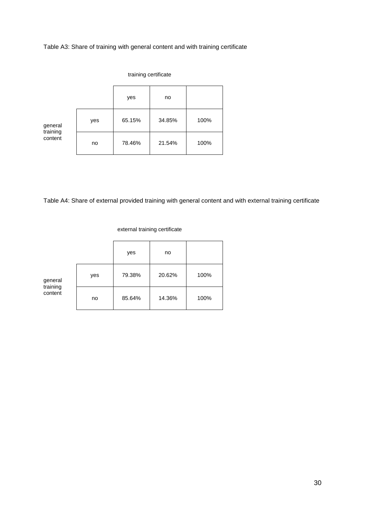Table A3: Share of training with general content and with training certificate

|                           | training certificate |        |        |      |  |
|---------------------------|----------------------|--------|--------|------|--|
|                           |                      | yes    | no     |      |  |
| general                   | yes                  | 65.15% | 34.85% | 100% |  |
| training<br>content<br>no | 78.46%               | 21.54% | 100%   |      |  |

Table A4: Share of external provided training with general content and with external training certificate

external training certificate

|                     |     | yes    | no     |      |
|---------------------|-----|--------|--------|------|
| general             | yes | 79.38% | 20.62% | 100% |
| training<br>content | no  | 85.64% | 14.36% | 100% |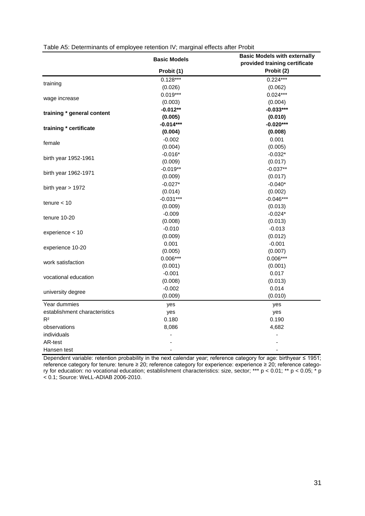|                               | <b>Basic Models</b> | <b>Basic Models with externally</b><br>provided training certificate |
|-------------------------------|---------------------|----------------------------------------------------------------------|
|                               | Probit (1)          | Probit (2)                                                           |
|                               | $0.128***$          | $0.224***$                                                           |
| training                      | (0.026)             | (0.062)                                                              |
|                               | $0.019***$          | $0.024***$                                                           |
| wage increase                 | (0.003)             | (0.004)                                                              |
|                               | $-0.012**$          | $-0.033***$                                                          |
| training * general content    | (0.005)             | (0.010)                                                              |
|                               | $-0.014***$         | $-0.020***$                                                          |
| training * certificate        | (0.004)             | (0.008)                                                              |
|                               | $-0.002$            | 0.001                                                                |
| female                        | (0.004)             | (0.005)                                                              |
|                               | $-0.016*$           | $-0.032*$                                                            |
| birth year 1952-1961          | (0.009)             | (0.017)                                                              |
|                               | $-0.019**$          | $-0.037**$                                                           |
| birth year 1962-1971          | (0.009)             | (0.017)                                                              |
|                               | $-0.027*$           | $-0.040*$                                                            |
| birth year $> 1972$           | (0.014)             | (0.002)                                                              |
|                               | $-0.031***$         | $-0.046***$                                                          |
| tenure $<$ 10                 | (0.009)             | (0.013)                                                              |
|                               | $-0.009$            | $-0.024*$                                                            |
| tenure 10-20                  | (0.008)             | (0.013)                                                              |
|                               | $-0.010$            | $-0.013$                                                             |
| experience < 10               | (0.009)             | (0.012)                                                              |
|                               | 0.001               | $-0.001$                                                             |
| experience 10-20              | (0.005)             | (0.007)                                                              |
|                               | $0.006***$          | $0.006***$                                                           |
| work satisfaction             | (0.001)             | (0.001)                                                              |
|                               | $-0.001$            | 0.017                                                                |
| vocational education          | (0.008)             | (0.013)                                                              |
|                               | $-0.002$            | 0.014                                                                |
| university degree             | (0.009)             | (0.010)                                                              |
| Year dummies                  | yes                 | yes                                                                  |
| establishment characteristics | yes                 | yes                                                                  |
| R <sup>2</sup>                | 0.180               | 0.190                                                                |
| observations                  | 8,086               | 4,682                                                                |
| individuals                   |                     |                                                                      |
| AR-test                       |                     |                                                                      |
| Hansen test                   |                     |                                                                      |

|  | Table A5: Determinants of employee retention IV; marginal effects after Probit |  |  |  |  |  |  |
|--|--------------------------------------------------------------------------------|--|--|--|--|--|--|
|--|--------------------------------------------------------------------------------|--|--|--|--|--|--|

Dependent variable: retention probability in the next calendar year; reference category for age: birthyear ≤ 1951; reference category for tenure: tenure ≥ 20; reference category for experience: experience ≥ 20; reference category for education: no vocational education; establishment characteristics: size, sector; \*\*\* p < 0.01; \*\* p < 0.05; \* p < 0.1; Source: WeLL-ADIAB 2006-2010.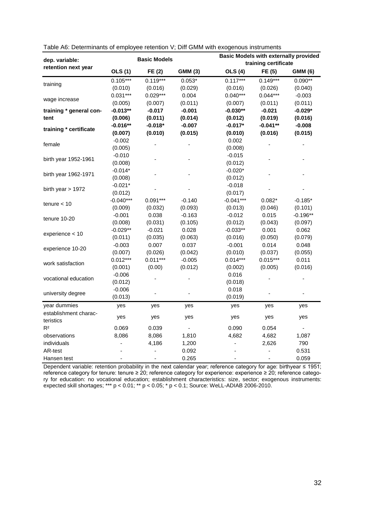| dep. variable:          |                          | <b>Basic Models</b> |                |                          | training certificate | <b>Basic Models with externally provided</b> |
|-------------------------|--------------------------|---------------------|----------------|--------------------------|----------------------|----------------------------------------------|
| retention next year     | <b>OLS (1)</b>           | FE(2)               | <b>GMM (3)</b> | <b>OLS (4)</b>           | FE (5)               | <b>GMM (6)</b>                               |
|                         | $0.105***$               | $0.119***$          | $0.053*$       | $0.117***$               | $0.149***$           | $0.090**$                                    |
| training                | (0.010)                  | (0.016)             | (0.029)        | (0.016)                  | (0.026)              | (0.040)                                      |
|                         | $0.031***$               | $0.029***$          | 0.004          | $0.040***$               | $0.044***$           | $-0.003$                                     |
| wage increase           | (0.005)                  | (0.007)             | (0.011)        | (0.007)                  | (0.011)              | (0.011)                                      |
| training * general con- | $-0.013**$               | $-0.017$            | $-0.001$       | $-0.030**$               | $-0.021$             | $-0.029*$                                    |
| tent                    | (0.006)                  | (0.011)             | (0.014)        | (0.012)                  | (0.019)              | (0.016)                                      |
|                         | $-0.016**$               | $-0.018*$           | $-0.007$       | $-0.017*$                | $-0.041**$           | $-0.008$                                     |
| training * certificate  | (0.007)                  | (0.010)             | (0.015)        | (0.010)                  | (0.016)              | (0.015)                                      |
|                         | $-0.002$                 |                     |                | 0.002                    |                      |                                              |
| female                  | (0.005)                  |                     |                | (0.008)                  |                      |                                              |
|                         | $-0.010$                 |                     |                | $-0.015$                 |                      |                                              |
| birth year 1952-1961    | (0.008)                  |                     |                | (0.012)                  |                      |                                              |
|                         | $-0.014*$                |                     |                | $-0.020*$                |                      |                                              |
| birth year 1962-1971    | (0.008)                  |                     |                | (0.012)                  |                      |                                              |
| birth year $> 1972$     | $-0.021*$                |                     |                | $-0.018$                 |                      |                                              |
|                         | (0.012)                  |                     |                | (0.017)                  |                      |                                              |
| $t$ enure < 10          | $-0.040***$              | $0.091***$          | $-0.140$       | $-0.041***$              | $0.082*$             | $-0.185*$                                    |
|                         | (0.009)                  | (0.032)             | (0.093)        | (0.013)                  | (0.046)              | (0.101)                                      |
| tenure 10-20            | $-0.001$                 | 0.038               | $-0.163$       | $-0.012$                 | 0.015                | $-0.196**$                                   |
|                         | (0.008)                  | (0.031)             | (0.105)        | (0.012)                  | (0.043)              | (0.097)                                      |
| experience < 10         | $-0.029**$               | $-0.021$            | 0.028          | $-0.033**$               | 0.001                | 0.062                                        |
|                         | (0.011)                  | (0.035)             | (0.063)        | (0.016)                  | (0.050)              | (0.079)                                      |
| experience 10-20        | $-0.003$                 | 0.007               | 0.037          | $-0.001$                 | 0.014                | 0.048                                        |
|                         | (0.007)                  | (0.026)             | (0.042)        | (0.010)                  | (0.037)              | (0.055)                                      |
| work satisfaction       | $0.012***$               | $0.011***$          | $-0.005$       | $0.014***$               | $0.015***$           | 0.011                                        |
|                         | (0.001)                  | (0.00)              | (0.012)        | (0.002)                  | (0.005)              | (0.016)                                      |
| vocational education    | $-0.006$                 |                     |                | 0.016                    |                      |                                              |
|                         | (0.012)                  |                     |                | (0.018)                  |                      |                                              |
| university degree       | $-0.006$                 |                     |                | 0.018                    |                      |                                              |
|                         | (0.013)                  |                     |                | (0.019)                  |                      |                                              |
| year dummies            | yes                      | yes                 | yes            | yes                      | yes                  | yes                                          |
| establishment charac-   | yes                      | yes                 | yes            | yes                      | yes                  | yes                                          |
| teristics               |                          |                     |                |                          |                      |                                              |
| R <sup>2</sup>          | 0.069                    | 0.039               |                | 0.090                    | 0.054                |                                              |
| observations            | 8,086                    | 8,086               | 1,810          | 4,682                    | 4,682                | 1,087                                        |
| individuals             |                          | 4,186               | 1,200          |                          | 2,626                | 790                                          |
| AR-test                 |                          |                     | 0.092          |                          | ÷,                   | 0.531                                        |
| Hansen test             | $\overline{\phantom{0}}$ |                     | 0.265          | $\overline{\phantom{a}}$ |                      | 0.059                                        |

Dependent variable: retention probability in the next calendar year; reference category for age: birthyear ≤ 1951; reference category for tenure: tenure ≥ 20; reference category for experience: experience ≥ 20; reference category for education: no vocational education; establishment characteristics: size, sector; exogenous instruments: expected skill shortages; \*\*\* p < 0.01; \*\* p < 0.05; \* p < 0.1; Source: WeLL-ADIAB 2006-2010.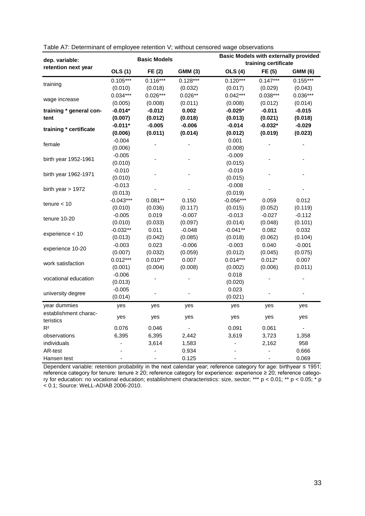| dep. variable:          |                          | <b>Basic Models</b> |                | <b>Basic Models with externally provided</b> |                      |                |
|-------------------------|--------------------------|---------------------|----------------|----------------------------------------------|----------------------|----------------|
| retention next year     |                          |                     |                |                                              | training certificate |                |
|                         | <b>OLS (1)</b>           | FE(2)               | <b>GMM (3)</b> | <b>OLS (4)</b>                               | FE (5)               | <b>GMM (6)</b> |
| training                | $0.105***$               | $0.116***$          | $0.128***$     | $0.120***$                                   | $0.147***$           | $0.155***$     |
|                         | (0.010)                  | (0.018)             | (0.032)        | (0.017)                                      | (0.029)              | (0.043)        |
| wage increase           | $0.034***$               | $0.026***$          | $0.026**$      | $0.042***$                                   | $0.038***$           | $0.036***$     |
|                         | (0.005)                  | (0.008)             | (0.011)        | (0.008)                                      | (0.012)              | (0.014)        |
| training * general con- | $-0.014*$                | $-0.012$            | 0.002          | $-0.025*$                                    | $-0.011$             | $-0.015$       |
| tent                    | (0.007)                  | (0.012)             | (0.018)        | (0.013)                                      | (0.021)              | (0.018)        |
| training * certificate  | $-0.011*$                | $-0.005$            | $-0.006$       | $-0.014$                                     | $-0.032*$            | $-0.029$       |
|                         | (0.006)                  | (0.011)             | (0.014)        | (0.012)                                      | (0.019)              | (0.023)        |
|                         | $-0.004$                 |                     |                | 0.001                                        |                      |                |
| female                  | (0.006)                  |                     |                | (0.008)                                      |                      |                |
|                         | $-0.005$                 |                     |                | $-0.009$                                     |                      |                |
| birth year 1952-1961    | (0.010)                  |                     |                | (0.015)                                      |                      |                |
|                         | $-0.010$                 |                     |                | $-0.019$                                     |                      |                |
| birth year 1962-1971    | (0.010)                  |                     |                | (0.015)                                      |                      |                |
|                         | $-0.013$                 |                     |                | $-0.008$                                     |                      |                |
| birth year $> 1972$     | (0.013)                  |                     |                | (0.019)                                      |                      |                |
| tenure $<$ 10           | $-0.043***$              | $0.081**$           | 0.150          | $-0.056***$                                  | 0.059                | 0.012          |
|                         | (0.010)                  | (0.036)             | (0.117)        | (0.015)                                      | (0.052)              | (0.119)        |
|                         | $-0.005$                 | 0.019               | $-0.007$       | $-0.013$                                     | $-0.027$             | $-0.112$       |
| tenure 10-20            | (0.010)                  | (0.033)             | (0.097)        | (0.014)                                      | (0.048)              | (0.101)        |
|                         | $-0.032**$               | 0.011               | $-0.048$       | $-0.041**$                                   | 0.082                | 0.032          |
| experience < 10         | (0.013)                  | (0.042)             | (0.085)        | (0.018)                                      | (0.062)              | (0.104)        |
|                         | $-0.003$                 | 0.023               | $-0.006$       | $-0.003$                                     | 0.040                | $-0.001$       |
| experience 10-20        | (0.007)                  | (0.032)             | (0.059)        | (0.012)                                      | (0.045)              | (0.075)        |
|                         | $0.012***$               | $0.010**$           | 0.007          | $0.014***$                                   | $0.012*$             | 0.007          |
| work satisfaction       | (0.001)                  | (0.004)             | (0.008)        | (0.002)                                      | (0.006)              | (0.011)        |
| vocational education    | $-0.006$                 |                     |                | 0.018                                        |                      |                |
|                         | (0.013)                  |                     |                | (0.020)                                      |                      |                |
|                         | $-0.005$                 |                     |                | 0.023                                        |                      |                |
| university degree       | (0.014)                  |                     |                | (0.021)                                      |                      |                |
| year dummies            | yes                      | yes                 | yes            | yes                                          | yes                  | yes            |
| establishment charac-   |                          |                     |                |                                              |                      |                |
| teristics               | yes                      | yes                 | yes            | yes                                          | yes                  | yes            |
| R <sup>2</sup>          | 0.076                    | 0.046               |                | 0.091                                        | 0.061                |                |
| observations            | 6,395                    | 6,395               | 2,442          | 3,619                                        | 3,723                | 1,358          |
| individuals             | $\overline{a}$           | 3,614               | 1,583          |                                              | 2,162                | 958            |
| AR-test                 |                          |                     | 0.934          |                                              | ÷,                   | 0.666          |
| Hansen test             | $\overline{\phantom{0}}$ |                     | 0.125          | $\qquad \qquad \blacksquare$                 |                      | 0.069          |

| Table A7: Determinant of employee retention V; without censored wage observations |  |  |
|-----------------------------------------------------------------------------------|--|--|
|                                                                                   |  |  |

Dependent variable: retention probability in the next calendar year; reference category for age: birthyear ≤ 1951; reference category for tenure: tenure ≥ 20; reference category for experience: experience ≥ 20; reference category for education: no vocational education; establishment characteristics: size, sector; \*\*\* p < 0.01; \*\* p < 0.05; \* p < 0.1; Source: WeLL-ADIAB 2006-2010.